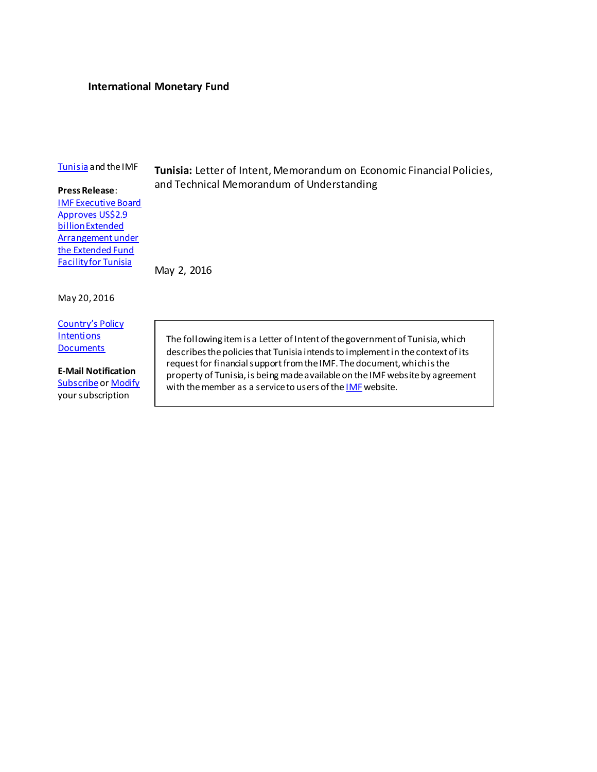### **International Monetary Fund**

### [Tunisia](http://www.imf.org/external/country/TUN/index.htm) and the IMF

**Tunisia:** Letter of Intent, Memorandum on Economic Financial Policies, and Technical Memorandum of Understanding

### **Press Release**:

[IMF Executive Board](http://www.imf.org/external/np/sec/pr/2016/pr16238.htm)  [Approves US\\$2.9](http://www.imf.org/external/np/sec/pr/2016/pr16238.htm)  [billion Extended](http://www.imf.org/external/np/sec/pr/2016/pr16238.htm)  Arrangement under [the Extended Fund](http://www.imf.org/external/np/sec/pr/2016/pr16238.htm)  [Facility for Tunisia](http://www.imf.org/external/np/sec/pr/2016/pr16238.htm)

May 2, 2016

### May 20, 2016

[Country's Policy](http://www.imf.org/external/np/cpid/default.aspx?dType=Letters+of+Intent+-+Memoranda+of+Economic+Policies)  **[Intentions](http://www.imf.org/external/np/cpid/default.aspx?dType=Letters+of+Intent+-+Memoranda+of+Economic+Policies) [Documents](http://www.imf.org/external/np/cpid/default.aspx?dType=Letters+of+Intent+-+Memoranda+of+Economic+Policies)** 

**E-Mail Notification [Subscribe](https://www.imf.org/external/cntpst/index.aspx) o[r Modify](https://www.imf.org/external/cntpst/signinmodify.aspx)** your subscription

The following item is a Letter of Intent of the government of Tunisia, which describes the policies that Tunisia intendsto implement in the context of its request for financial support from the IMF. The document, which is the property of Tunisia, is being made available on the IMF website by agreement with the member as a service to users of the **[IMF](http://www.imf.org/)** website.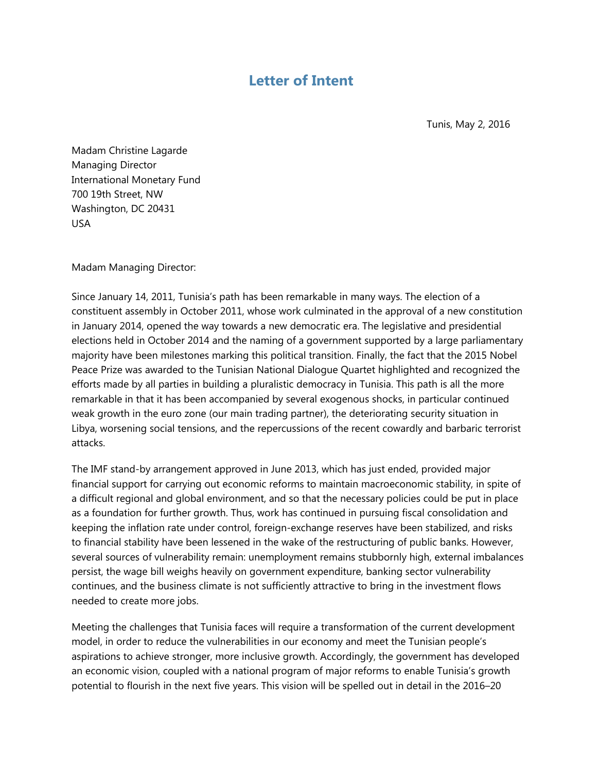# **Letter of Intent**

Tunis, May 2, 2016

Madam Christine Lagarde Managing Director International Monetary Fund 700 19th Street, NW Washington, DC 20431 USA

Madam Managing Director:

Since January 14, 2011, Tunisia's path has been remarkable in many ways. The election of a constituent assembly in October 2011, whose work culminated in the approval of a new constitution in January 2014, opened the way towards a new democratic era. The legislative and presidential elections held in October 2014 and the naming of a government supported by a large parliamentary majority have been milestones marking this political transition. Finally, the fact that the 2015 Nobel Peace Prize was awarded to the Tunisian National Dialogue Quartet highlighted and recognized the efforts made by all parties in building a pluralistic democracy in Tunisia. This path is all the more remarkable in that it has been accompanied by several exogenous shocks, in particular continued weak growth in the euro zone (our main trading partner), the deteriorating security situation in Libya, worsening social tensions, and the repercussions of the recent cowardly and barbaric terrorist attacks.

The IMF stand-by arrangement approved in June 2013, which has just ended, provided major financial support for carrying out economic reforms to maintain macroeconomic stability, in spite of a difficult regional and global environment, and so that the necessary policies could be put in place as a foundation for further growth. Thus, work has continued in pursuing fiscal consolidation and keeping the inflation rate under control, foreign-exchange reserves have been stabilized, and risks to financial stability have been lessened in the wake of the restructuring of public banks. However, several sources of vulnerability remain: unemployment remains stubbornly high, external imbalances persist, the wage bill weighs heavily on government expenditure, banking sector vulnerability continues, and the business climate is not sufficiently attractive to bring in the investment flows needed to create more jobs.

Meeting the challenges that Tunisia faces will require a transformation of the current development model, in order to reduce the vulnerabilities in our economy and meet the Tunisian people's aspirations to achieve stronger, more inclusive growth. Accordingly, the government has developed an economic vision, coupled with a national program of major reforms to enable Tunisia's growth potential to flourish in the next five years. This vision will be spelled out in detail in the 2016–20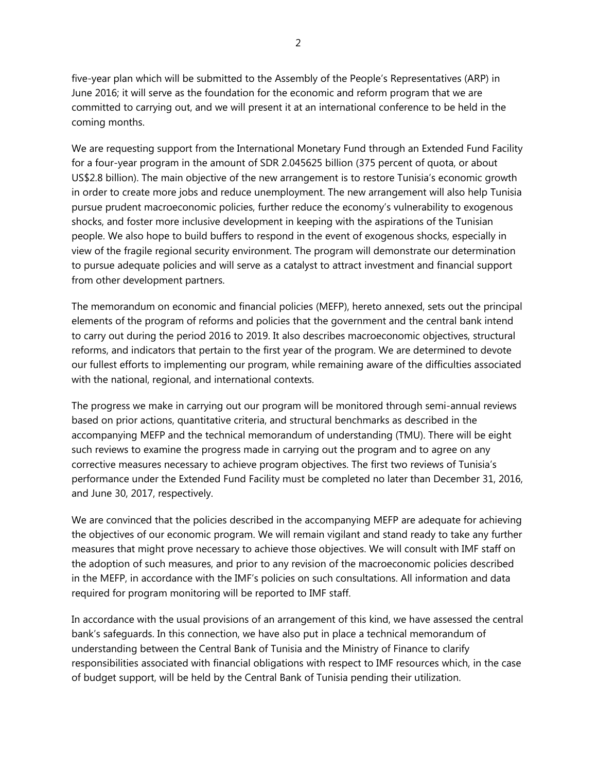five-year plan which will be submitted to the Assembly of the People's Representatives (ARP) in June 2016; it will serve as the foundation for the economic and reform program that we are committed to carrying out, and we will present it at an international conference to be held in the coming months.

We are requesting support from the International Monetary Fund through an Extended Fund Facility for a four-year program in the amount of SDR 2.045625 billion (375 percent of quota, or about US\$2.8 billion). The main objective of the new arrangement is to restore Tunisia's economic growth in order to create more jobs and reduce unemployment. The new arrangement will also help Tunisia pursue prudent macroeconomic policies, further reduce the economy's vulnerability to exogenous shocks, and foster more inclusive development in keeping with the aspirations of the Tunisian people. We also hope to build buffers to respond in the event of exogenous shocks, especially in view of the fragile regional security environment. The program will demonstrate our determination to pursue adequate policies and will serve as a catalyst to attract investment and financial support from other development partners.

The memorandum on economic and financial policies (MEFP), hereto annexed, sets out the principal elements of the program of reforms and policies that the government and the central bank intend to carry out during the period 2016 to 2019. It also describes macroeconomic objectives, structural reforms, and indicators that pertain to the first year of the program. We are determined to devote our fullest efforts to implementing our program, while remaining aware of the difficulties associated with the national, regional, and international contexts.

The progress we make in carrying out our program will be monitored through semi-annual reviews based on prior actions, quantitative criteria, and structural benchmarks as described in the accompanying MEFP and the technical memorandum of understanding (TMU). There will be eight such reviews to examine the progress made in carrying out the program and to agree on any corrective measures necessary to achieve program objectives. The first two reviews of Tunisia's performance under the Extended Fund Facility must be completed no later than December 31, 2016, and June 30, 2017, respectively.

We are convinced that the policies described in the accompanying MEFP are adequate for achieving the objectives of our economic program. We will remain vigilant and stand ready to take any further measures that might prove necessary to achieve those objectives. We will consult with IMF staff on the adoption of such measures, and prior to any revision of the macroeconomic policies described in the MEFP, in accordance with the IMF's policies on such consultations. All information and data required for program monitoring will be reported to IMF staff.

In accordance with the usual provisions of an arrangement of this kind, we have assessed the central bank's safeguards. In this connection, we have also put in place a technical memorandum of understanding between the Central Bank of Tunisia and the Ministry of Finance to clarify responsibilities associated with financial obligations with respect to IMF resources which, in the case of budget support, will be held by the Central Bank of Tunisia pending their utilization.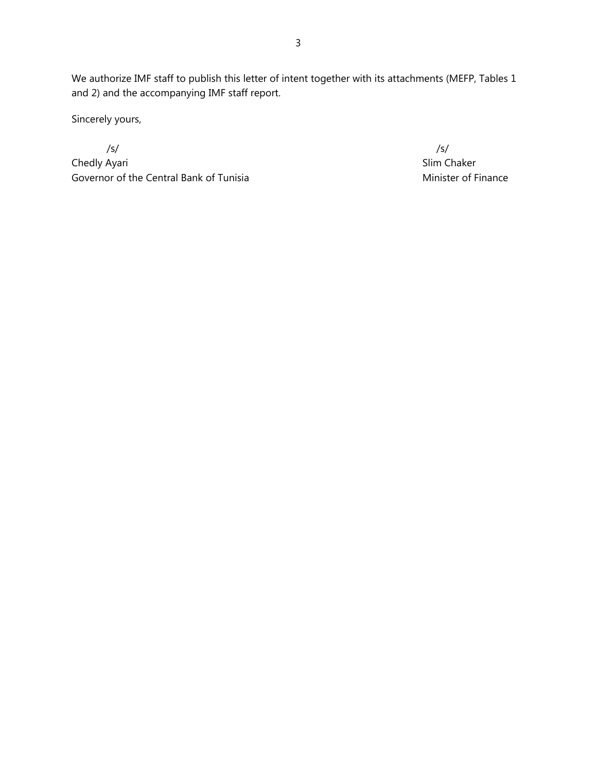We authorize IMF staff to publish this letter of intent together with its attachments (MEFP, Tables 1 and 2) and the accompanying IMF staff report.

Sincerely yours,

 $\sqrt{s}$ /s/ Chedly Ayari Slim Chaker Governor of the Central Bank of Tunisia Covernor of Finance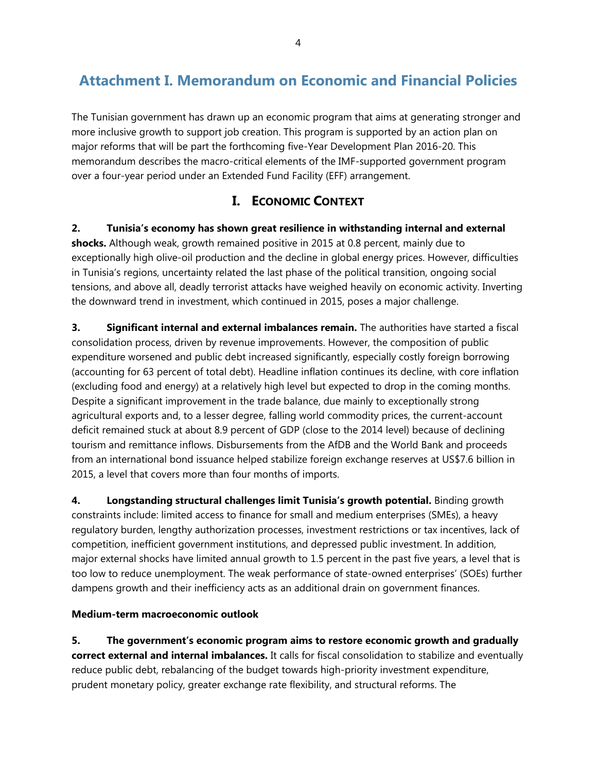# **Attachment I. Memorandum on Economic and Financial Policies**

The Tunisian government has drawn up an economic program that aims at generating stronger and more inclusive growth to support job creation. This program is supported by an action plan on major reforms that will be part the forthcoming five-Year Development Plan 2016-20. This memorandum describes the macro-critical elements of the IMF-supported government program over a four-year period under an Extended Fund Facility (EFF) arrangement.

# **I. ECONOMIC CONTEXT**

**2. Tunisia's economy has shown great resilience in withstanding internal and external shocks.** Although weak, growth remained positive in 2015 at 0.8 percent, mainly due to exceptionally high olive-oil production and the decline in global energy prices. However, difficulties in Tunisia's regions, uncertainty related the last phase of the political transition, ongoing social tensions, and above all, deadly terrorist attacks have weighed heavily on economic activity. Inverting the downward trend in investment, which continued in 2015, poses a major challenge.

**3. Significant internal and external imbalances remain.** The authorities have started a fiscal consolidation process, driven by revenue improvements. However, the composition of public expenditure worsened and public debt increased significantly, especially costly foreign borrowing (accounting for 63 percent of total debt). Headline inflation continues its decline, with core inflation (excluding food and energy) at a relatively high level but expected to drop in the coming months. Despite a significant improvement in the trade balance, due mainly to exceptionally strong agricultural exports and, to a lesser degree, falling world commodity prices, the current-account deficit remained stuck at about 8.9 percent of GDP (close to the 2014 level) because of declining tourism and remittance inflows. Disbursements from the AfDB and the World Bank and proceeds from an international bond issuance helped stabilize foreign exchange reserves at US\$7.6 billion in 2015, a level that covers more than four months of imports.

**4. Longstanding structural challenges limit Tunisia's growth potential.** Binding growth constraints include: limited access to finance for small and medium enterprises (SMEs), a heavy regulatory burden, lengthy authorization processes, investment restrictions or tax incentives, lack of competition, inefficient government institutions, and depressed public investment. In addition, major external shocks have limited annual growth to 1.5 percent in the past five years, a level that is too low to reduce unemployment. The weak performance of state-owned enterprises' (SOEs) further dampens growth and their inefficiency acts as an additional drain on government finances.

### **Medium-term macroeconomic outlook**

**5. The government's economic program aims to restore economic growth and gradually correct external and internal imbalances.** It calls for fiscal consolidation to stabilize and eventually reduce public debt, rebalancing of the budget towards high-priority investment expenditure, prudent monetary policy, greater exchange rate flexibility, and structural reforms. The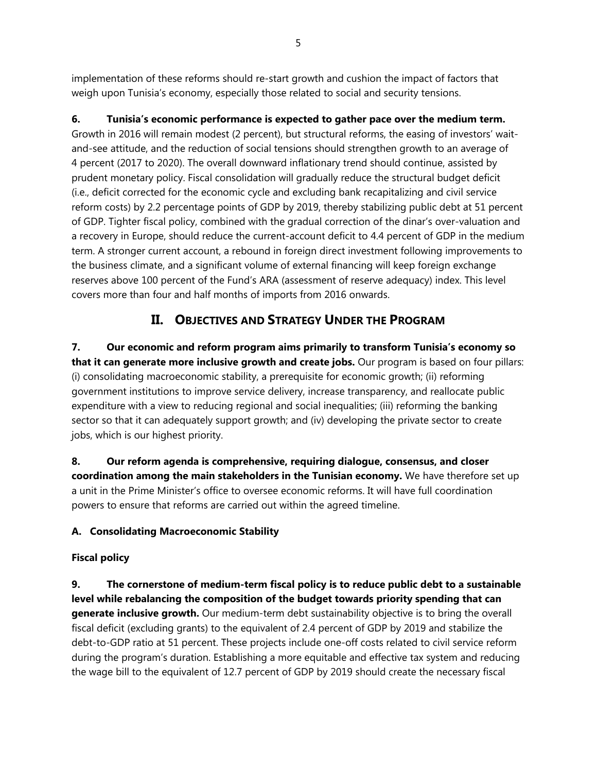implementation of these reforms should re-start growth and cushion the impact of factors that weigh upon Tunisia's economy, especially those related to social and security tensions.

### **6. Tunisia's economic performance is expected to gather pace over the medium term.**

Growth in 2016 will remain modest (2 percent), but structural reforms, the easing of investors' waitand-see attitude, and the reduction of social tensions should strengthen growth to an average of 4 percent (2017 to 2020). The overall downward inflationary trend should continue, assisted by prudent monetary policy. Fiscal consolidation will gradually reduce the structural budget deficit (i.e., deficit corrected for the economic cycle and excluding bank recapitalizing and civil service reform costs) by 2.2 percentage points of GDP by 2019, thereby stabilizing public debt at 51 percent of GDP. Tighter fiscal policy, combined with the gradual correction of the dinar's over-valuation and a recovery in Europe, should reduce the current-account deficit to 4.4 percent of GDP in the medium term. A stronger current account, a rebound in foreign direct investment following improvements to the business climate, and a significant volume of external financing will keep foreign exchange reserves above 100 percent of the Fund's ARA (assessment of reserve adequacy) index. This level covers more than four and half months of imports from 2016 onwards.

## **II. OBJECTIVES AND STRATEGY UNDER THE PROGRAM**

**7. Our economic and reform program aims primarily to transform Tunisia's economy so that it can generate more inclusive growth and create jobs.** Our program is based on four pillars: (i) consolidating macroeconomic stability, a prerequisite for economic growth; (ii) reforming government institutions to improve service delivery, increase transparency, and reallocate public expenditure with a view to reducing regional and social inequalities; (iii) reforming the banking sector so that it can adequately support growth; and (iv) developing the private sector to create jobs, which is our highest priority.

**8. Our reform agenda is comprehensive, requiring dialogue, consensus, and closer coordination among the main stakeholders in the Tunisian economy.** We have therefore set up a unit in the Prime Minister's office to oversee economic reforms. It will have full coordination powers to ensure that reforms are carried out within the agreed timeline.

## **A. Consolidating Macroeconomic Stability**

### **Fiscal policy**

**9. The cornerstone of medium-term fiscal policy is to reduce public debt to a sustainable level while rebalancing the composition of the budget towards priority spending that can generate inclusive growth.** Our medium-term debt sustainability objective is to bring the overall fiscal deficit (excluding grants) to the equivalent of 2.4 percent of GDP by 2019 and stabilize the debt-to-GDP ratio at 51 percent. These projects include one-off costs related to civil service reform during the program's duration. Establishing a more equitable and effective tax system and reducing the wage bill to the equivalent of 12.7 percent of GDP by 2019 should create the necessary fiscal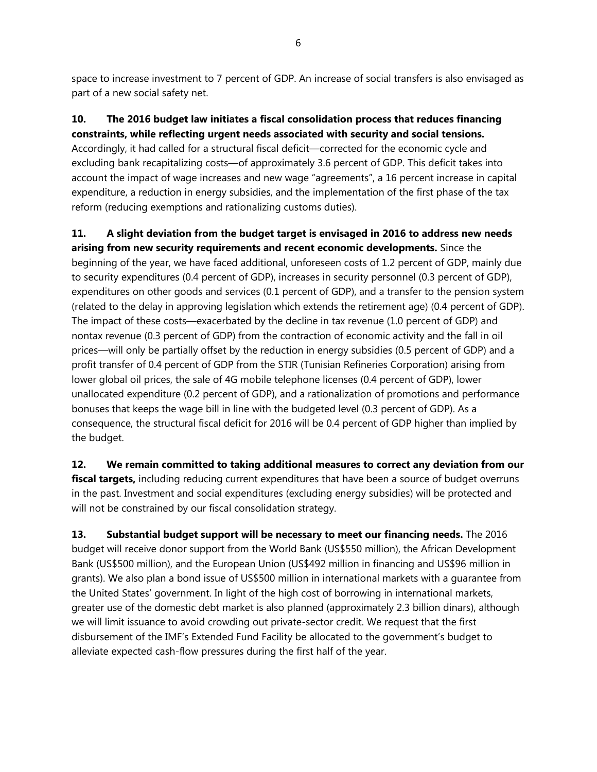space to increase investment to 7 percent of GDP. An increase of social transfers is also envisaged as part of a new social safety net.

## **10. The 2016 budget law initiates a fiscal consolidation process that reduces financing constraints, while reflecting urgent needs associated with security and social tensions.**

Accordingly, it had called for a structural fiscal deficit—corrected for the economic cycle and excluding bank recapitalizing costs—of approximately 3.6 percent of GDP. This deficit takes into account the impact of wage increases and new wage "agreements", a 16 percent increase in capital expenditure, a reduction in energy subsidies, and the implementation of the first phase of the tax reform (reducing exemptions and rationalizing customs duties).

### **11. A slight deviation from the budget target is envisaged in 2016 to address new needs arising from new security requirements and recent economic developments.** Since the

beginning of the year, we have faced additional, unforeseen costs of 1.2 percent of GDP, mainly due to security expenditures (0.4 percent of GDP), increases in security personnel (0.3 percent of GDP), expenditures on other goods and services (0.1 percent of GDP), and a transfer to the pension system (related to the delay in approving legislation which extends the retirement age) (0.4 percent of GDP). The impact of these costs—exacerbated by the decline in tax revenue (1.0 percent of GDP) and nontax revenue (0.3 percent of GDP) from the contraction of economic activity and the fall in oil prices—will only be partially offset by the reduction in energy subsidies (0.5 percent of GDP) and a profit transfer of 0.4 percent of GDP from the STIR (Tunisian Refineries Corporation) arising from lower global oil prices, the sale of 4G mobile telephone licenses (0.4 percent of GDP), lower unallocated expenditure (0.2 percent of GDP), and a rationalization of promotions and performance bonuses that keeps the wage bill in line with the budgeted level (0.3 percent of GDP). As a consequence, the structural fiscal deficit for 2016 will be 0.4 percent of GDP higher than implied by the budget.

**12. We remain committed to taking additional measures to correct any deviation from our fiscal targets,** including reducing current expenditures that have been a source of budget overruns in the past. Investment and social expenditures (excluding energy subsidies) will be protected and will not be constrained by our fiscal consolidation strategy.

**13. Substantial budget support will be necessary to meet our financing needs.** The 2016 budget will receive donor support from the World Bank (US\$550 million), the African Development Bank (US\$500 million), and the European Union (US\$492 million in financing and US\$96 million in grants). We also plan a bond issue of US\$500 million in international markets with a guarantee from the United States' government. In light of the high cost of borrowing in international markets, greater use of the domestic debt market is also planned (approximately 2.3 billion dinars), although we will limit issuance to avoid crowding out private-sector credit. We request that the first disbursement of the IMF's Extended Fund Facility be allocated to the government's budget to alleviate expected cash-flow pressures during the first half of the year.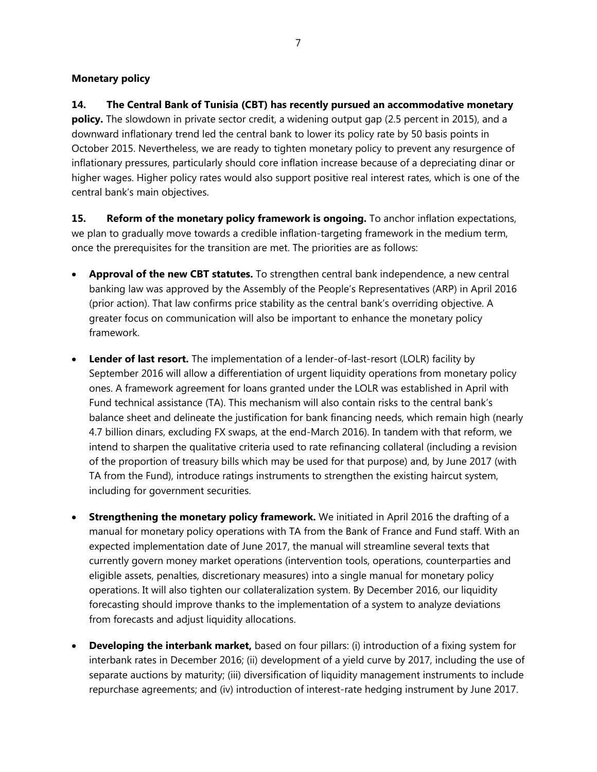### **Monetary policy**

**14. The Central Bank of Tunisia (CBT) has recently pursued an accommodative monetary policy.** The slowdown in private sector credit, a widening output gap (2.5 percent in 2015), and a downward inflationary trend led the central bank to lower its policy rate by 50 basis points in October 2015. Nevertheless, we are ready to tighten monetary policy to prevent any resurgence of inflationary pressures, particularly should core inflation increase because of a depreciating dinar or higher wages. Higher policy rates would also support positive real interest rates, which is one of the central bank's main objectives.

**15. Reform of the monetary policy framework is ongoing.** To anchor inflation expectations, we plan to gradually move towards a credible inflation-targeting framework in the medium term, once the prerequisites for the transition are met. The priorities are as follows:

- **Approval of the new CBT statutes.** To strengthen central bank independence, a new central banking law was approved by the Assembly of the People's Representatives (ARP) in April 2016 (prior action). That law confirms price stability as the central bank's overriding objective. A greater focus on communication will also be important to enhance the monetary policy framework.
- **Lender of last resort.** The implementation of a lender-of-last-resort (LOLR) facility by September 2016 will allow a differentiation of urgent liquidity operations from monetary policy ones. A framework agreement for loans granted under the LOLR was established in April with Fund technical assistance (TA). This mechanism will also contain risks to the central bank's balance sheet and delineate the justification for bank financing needs, which remain high (nearly 4.7 billion dinars, excluding FX swaps, at the end-March 2016). In tandem with that reform, we intend to sharpen the qualitative criteria used to rate refinancing collateral (including a revision of the proportion of treasury bills which may be used for that purpose) and, by June 2017 (with TA from the Fund), introduce ratings instruments to strengthen the existing haircut system, including for government securities.
- **Strengthening the monetary policy framework.** We initiated in April 2016 the drafting of a manual for monetary policy operations with TA from the Bank of France and Fund staff. With an expected implementation date of June 2017, the manual will streamline several texts that currently govern money market operations (intervention tools, operations, counterparties and eligible assets, penalties, discretionary measures) into a single manual for monetary policy operations. It will also tighten our collateralization system. By December 2016, our liquidity forecasting should improve thanks to the implementation of a system to analyze deviations from forecasts and adjust liquidity allocations.
- **Developing the interbank market,** based on four pillars: (i) introduction of a fixing system for interbank rates in December 2016; (ii) development of a yield curve by 2017, including the use of separate auctions by maturity; (iii) diversification of liquidity management instruments to include repurchase agreements; and (iv) introduction of interest-rate hedging instrument by June 2017.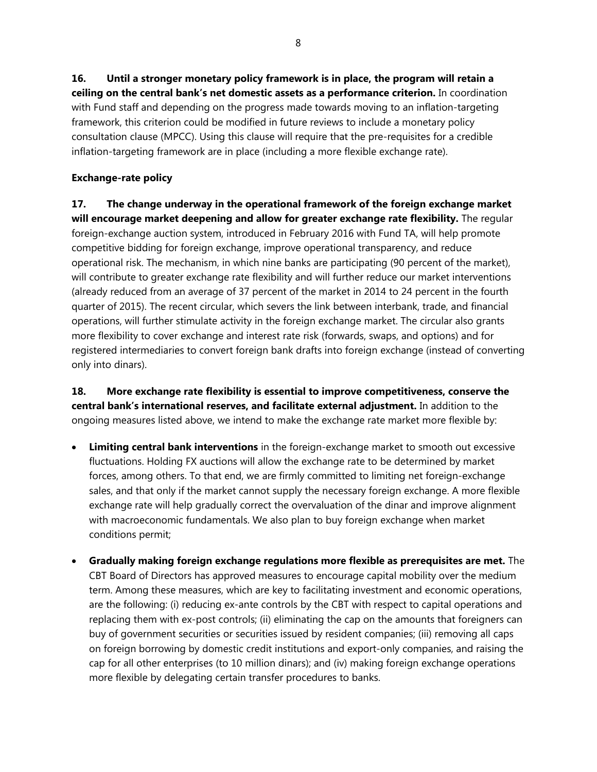**16. Until a stronger monetary policy framework is in place, the program will retain a ceiling on the central bank's net domestic assets as a performance criterion.** In coordination with Fund staff and depending on the progress made towards moving to an inflation-targeting framework, this criterion could be modified in future reviews to include a monetary policy consultation clause (MPCC). Using this clause will require that the pre-requisites for a credible inflation-targeting framework are in place (including a more flexible exchange rate).

### **Exchange-rate policy**

**17. The change underway in the operational framework of the foreign exchange market will encourage market deepening and allow for greater exchange rate flexibility.** The regular foreign-exchange auction system, introduced in February 2016 with Fund TA, will help promote competitive bidding for foreign exchange, improve operational transparency, and reduce operational risk. The mechanism, in which nine banks are participating (90 percent of the market), will contribute to greater exchange rate flexibility and will further reduce our market interventions (already reduced from an average of 37 percent of the market in 2014 to 24 percent in the fourth quarter of 2015). The recent circular, which severs the link between interbank, trade, and financial operations, will further stimulate activity in the foreign exchange market. The circular also grants more flexibility to cover exchange and interest rate risk (forwards, swaps, and options) and for registered intermediaries to convert foreign bank drafts into foreign exchange (instead of converting only into dinars).

**18. More exchange rate flexibility is essential to improve competitiveness, conserve the central bank's international reserves, and facilitate external adjustment.** In addition to the ongoing measures listed above, we intend to make the exchange rate market more flexible by:

- **Limiting central bank interventions** in the foreign-exchange market to smooth out excessive fluctuations. Holding FX auctions will allow the exchange rate to be determined by market forces, among others. To that end, we are firmly committed to limiting net foreign-exchange sales, and that only if the market cannot supply the necessary foreign exchange. A more flexible exchange rate will help gradually correct the overvaluation of the dinar and improve alignment with macroeconomic fundamentals. We also plan to buy foreign exchange when market conditions permit;
- **Gradually making foreign exchange regulations more flexible as prerequisites are met.** The CBT Board of Directors has approved measures to encourage capital mobility over the medium term. Among these measures, which are key to facilitating investment and economic operations, are the following: (i) reducing ex-ante controls by the CBT with respect to capital operations and replacing them with ex-post controls; (ii) eliminating the cap on the amounts that foreigners can buy of government securities or securities issued by resident companies; (iii) removing all caps on foreign borrowing by domestic credit institutions and export-only companies, and raising the cap for all other enterprises (to 10 million dinars); and (iv) making foreign exchange operations more flexible by delegating certain transfer procedures to banks.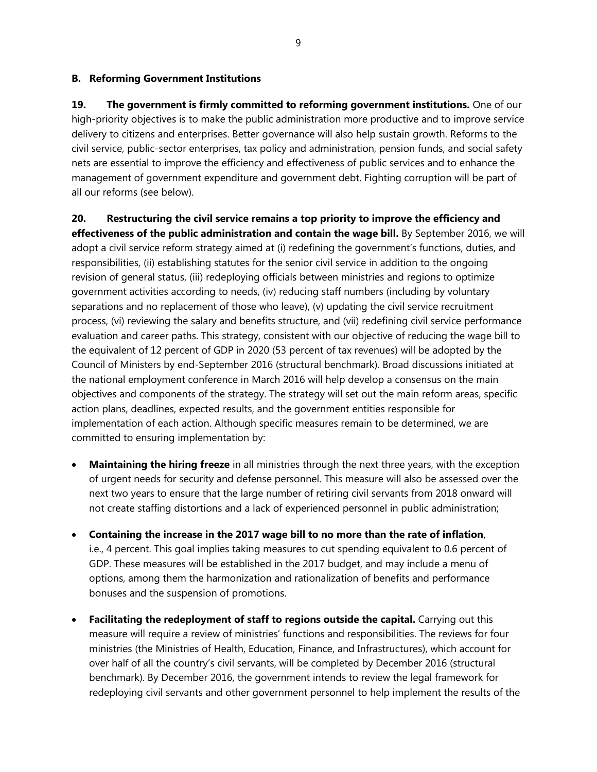### **B. Reforming Government Institutions**

**19. The government is firmly committed to reforming government institutions.** One of our high-priority objectives is to make the public administration more productive and to improve service delivery to citizens and enterprises. Better governance will also help sustain growth. Reforms to the civil service, public-sector enterprises, tax policy and administration, pension funds, and social safety nets are essential to improve the efficiency and effectiveness of public services and to enhance the management of government expenditure and government debt. Fighting corruption will be part of all our reforms (see below).

## **20. Restructuring the civil service remains a top priority to improve the efficiency and effectiveness of the public administration and contain the wage bill.** By September 2016, we will adopt a civil service reform strategy aimed at (i) redefining the government's functions, duties, and responsibilities, (ii) establishing statutes for the senior civil service in addition to the ongoing revision of general status, (iii) redeploying officials between ministries and regions to optimize government activities according to needs, (iv) reducing staff numbers (including by voluntary separations and no replacement of those who leave), (v) updating the civil service recruitment process, (vi) reviewing the salary and benefits structure, and (vii) redefining civil service performance evaluation and career paths. This strategy, consistent with our objective of reducing the wage bill to the equivalent of 12 percent of GDP in 2020 (53 percent of tax revenues) will be adopted by the Council of Ministers by end-September 2016 (structural benchmark). Broad discussions initiated at the national employment conference in March 2016 will help develop a consensus on the main objectives and components of the strategy. The strategy will set out the main reform areas, specific action plans, deadlines, expected results, and the government entities responsible for implementation of each action. Although specific measures remain to be determined, we are committed to ensuring implementation by:

- **Maintaining the hiring freeze** in all ministries through the next three years, with the exception of urgent needs for security and defense personnel. This measure will also be assessed over the next two years to ensure that the large number of retiring civil servants from 2018 onward will not create staffing distortions and a lack of experienced personnel in public administration;
- **Containing the increase in the 2017 wage bill to no more than the rate of inflation**, i.e., 4 percent. This goal implies taking measures to cut spending equivalent to 0.6 percent of GDP. These measures will be established in the 2017 budget, and may include a menu of options, among them the harmonization and rationalization of benefits and performance bonuses and the suspension of promotions.
- **Facilitating the redeployment of staff to regions outside the capital.** Carrying out this measure will require a review of ministries' functions and responsibilities. The reviews for four ministries (the Ministries of Health, Education, Finance, and Infrastructures), which account for over half of all the country's civil servants, will be completed by December 2016 (structural benchmark). By December 2016, the government intends to review the legal framework for redeploying civil servants and other government personnel to help implement the results of the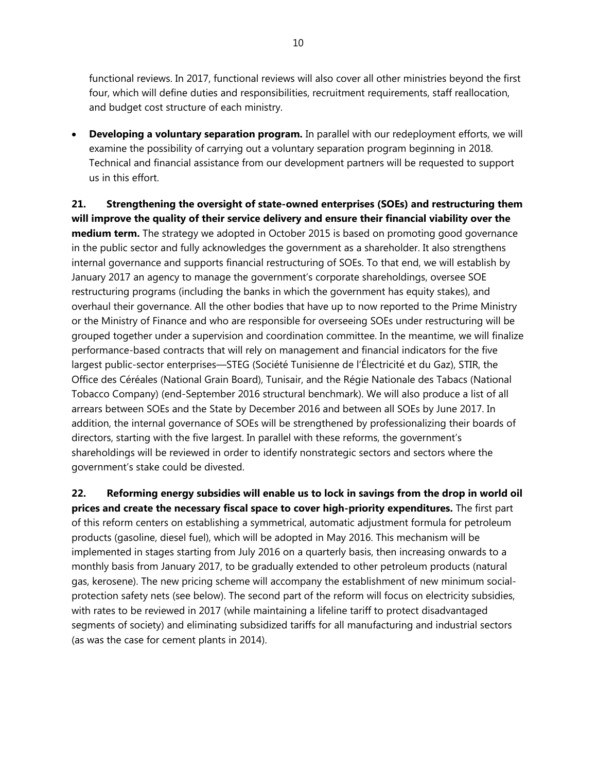functional reviews. In 2017, functional reviews will also cover all other ministries beyond the first four, which will define duties and responsibilities, recruitment requirements, staff reallocation, and budget cost structure of each ministry.

 **Developing a voluntary separation program.** In parallel with our redeployment efforts, we will examine the possibility of carrying out a voluntary separation program beginning in 2018. Technical and financial assistance from our development partners will be requested to support us in this effort.

**21. Strengthening the oversight of state-owned enterprises (SOEs) and restructuring them will improve the quality of their service delivery and ensure their financial viability over the medium term.** The strategy we adopted in October 2015 is based on promoting good governance in the public sector and fully acknowledges the government as a shareholder. It also strengthens internal governance and supports financial restructuring of SOEs. To that end, we will establish by January 2017 an agency to manage the government's corporate shareholdings, oversee SOE restructuring programs (including the banks in which the government has equity stakes), and overhaul their governance. All the other bodies that have up to now reported to the Prime Ministry or the Ministry of Finance and who are responsible for overseeing SOEs under restructuring will be grouped together under a supervision and coordination committee. In the meantime, we will finalize performance-based contracts that will rely on management and financial indicators for the five largest public-sector enterprises—STEG (Société Tunisienne de l'Électricité et du Gaz), STIR, the Office des Céréales (National Grain Board), Tunisair, and the Régie Nationale des Tabacs (National Tobacco Company) (end-September 2016 structural benchmark). We will also produce a list of all arrears between SOEs and the State by December 2016 and between all SOEs by June 2017. In addition, the internal governance of SOEs will be strengthened by professionalizing their boards of directors, starting with the five largest. In parallel with these reforms, the government's shareholdings will be reviewed in order to identify nonstrategic sectors and sectors where the government's stake could be divested.

**22. Reforming energy subsidies will enable us to lock in savings from the drop in world oil prices and create the necessary fiscal space to cover high-priority expenditures.** The first part of this reform centers on establishing a symmetrical, automatic adjustment formula for petroleum products (gasoline, diesel fuel), which will be adopted in May 2016. This mechanism will be implemented in stages starting from July 2016 on a quarterly basis, then increasing onwards to a monthly basis from January 2017, to be gradually extended to other petroleum products (natural gas, kerosene). The new pricing scheme will accompany the establishment of new minimum socialprotection safety nets (see below). The second part of the reform will focus on electricity subsidies, with rates to be reviewed in 2017 (while maintaining a lifeline tariff to protect disadvantaged segments of society) and eliminating subsidized tariffs for all manufacturing and industrial sectors (as was the case for cement plants in 2014).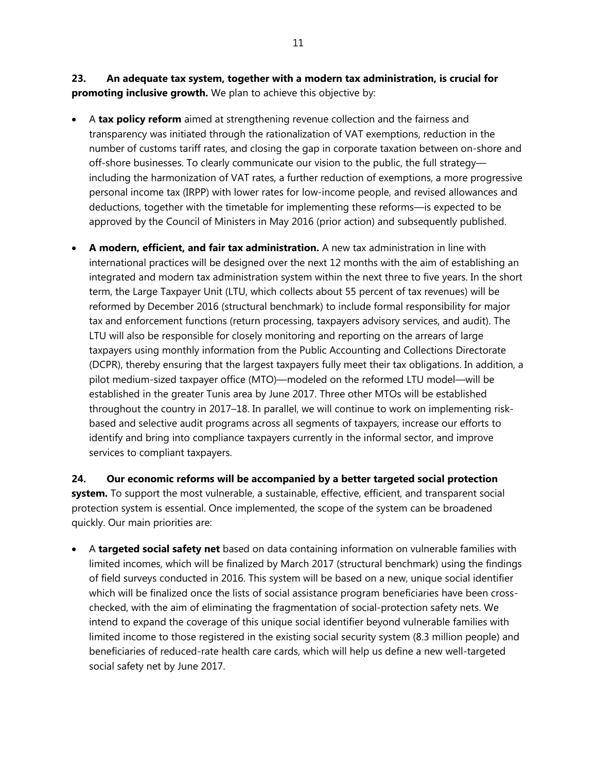**23. An adequate tax system, together with a modern tax administration, is crucial for promoting inclusive growth.** We plan to achieve this objective by:

- A **tax policy reform** aimed at strengthening revenue collection and the fairness and transparency was initiated through the rationalization of VAT exemptions, reduction in the number of customs tariff rates, and closing the gap in corporate taxation between on-shore and off-shore businesses. To clearly communicate our vision to the public, the full strategy including the harmonization of VAT rates, a further reduction of exemptions, a more progressive personal income tax (IRPP) with lower rates for low-income people, and revised allowances and deductions, together with the timetable for implementing these reforms—is expected to be approved by the Council of Ministers in May 2016 (prior action) and subsequently published.
- **A modern, efficient, and fair tax administration.** A new tax administration in line with international practices will be designed over the next 12 months with the aim of establishing an integrated and modern tax administration system within the next three to five years. In the short term, the Large Taxpayer Unit (LTU, which collects about 55 percent of tax revenues) will be reformed by December 2016 (structural benchmark) to include formal responsibility for major tax and enforcement functions (return processing, taxpayers advisory services, and audit). The LTU will also be responsible for closely monitoring and reporting on the arrears of large taxpayers using monthly information from the Public Accounting and Collections Directorate (DCPR), thereby ensuring that the largest taxpayers fully meet their tax obligations. In addition, a pilot medium-sized taxpayer office (MTO)—modeled on the reformed LTU model—will be established in the greater Tunis area by June 2017. Three other MTOs will be established throughout the country in 2017–18. In parallel, we will continue to work on implementing riskbased and selective audit programs across all segments of taxpayers, increase our efforts to identify and bring into compliance taxpayers currently in the informal sector, and improve services to compliant taxpayers.

**24. Our economic reforms will be accompanied by a better targeted social protection system.** To support the most vulnerable, a sustainable, effective, efficient, and transparent social protection system is essential. Once implemented, the scope of the system can be broadened quickly. Our main priorities are:

 A **targeted social safety net** based on data containing information on vulnerable families with limited incomes, which will be finalized by March 2017 (structural benchmark) using the findings of field surveys conducted in 2016. This system will be based on a new, unique social identifier which will be finalized once the lists of social assistance program beneficiaries have been crosschecked, with the aim of eliminating the fragmentation of social-protection safety nets. We intend to expand the coverage of this unique social identifier beyond vulnerable families with limited income to those registered in the existing social security system (8.3 million people) and beneficiaries of reduced-rate health care cards, which will help us define a new well-targeted social safety net by June 2017.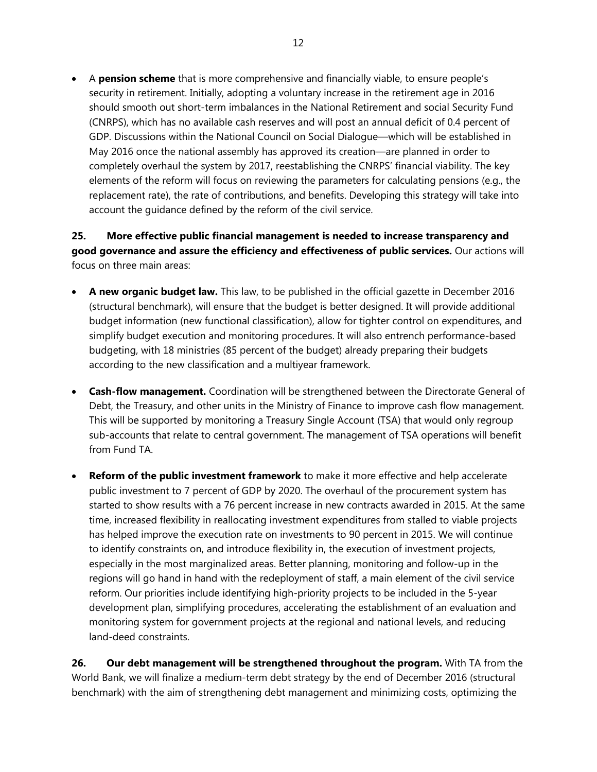A **pension scheme** that is more comprehensive and financially viable, to ensure people's security in retirement. Initially, adopting a voluntary increase in the retirement age in 2016 should smooth out short-term imbalances in the National Retirement and social Security Fund (CNRPS), which has no available cash reserves and will post an annual deficit of 0.4 percent of GDP. Discussions within the National Council on Social Dialogue—which will be established in May 2016 once the national assembly has approved its creation—are planned in order to completely overhaul the system by 2017, reestablishing the CNRPS' financial viability. The key elements of the reform will focus on reviewing the parameters for calculating pensions (e.g., the replacement rate), the rate of contributions, and benefits. Developing this strategy will take into account the guidance defined by the reform of the civil service.

**25. More effective public financial management is needed to increase transparency and good governance and assure the efficiency and effectiveness of public services.** Our actions will focus on three main areas:

- **A new organic budget law.** This law, to be published in the official gazette in December 2016 (structural benchmark), will ensure that the budget is better designed. It will provide additional budget information (new functional classification), allow for tighter control on expenditures, and simplify budget execution and monitoring procedures. It will also entrench performance-based budgeting, with 18 ministries (85 percent of the budget) already preparing their budgets according to the new classification and a multiyear framework.
- **Cash-flow management.** Coordination will be strengthened between the Directorate General of Debt, the Treasury, and other units in the Ministry of Finance to improve cash flow management. This will be supported by monitoring a Treasury Single Account (TSA) that would only regroup sub-accounts that relate to central government. The management of TSA operations will benefit from Fund TA.
- **Reform of the public investment framework** to make it more effective and help accelerate public investment to 7 percent of GDP by 2020. The overhaul of the procurement system has started to show results with a 76 percent increase in new contracts awarded in 2015. At the same time, increased flexibility in reallocating investment expenditures from stalled to viable projects has helped improve the execution rate on investments to 90 percent in 2015. We will continue to identify constraints on, and introduce flexibility in, the execution of investment projects, especially in the most marginalized areas. Better planning, monitoring and follow-up in the regions will go hand in hand with the redeployment of staff, a main element of the civil service reform. Our priorities include identifying high-priority projects to be included in the 5-year development plan, simplifying procedures, accelerating the establishment of an evaluation and monitoring system for government projects at the regional and national levels, and reducing land-deed constraints.

**26. Our debt management will be strengthened throughout the program.** With TA from the World Bank, we will finalize a medium-term debt strategy by the end of December 2016 (structural benchmark) with the aim of strengthening debt management and minimizing costs, optimizing the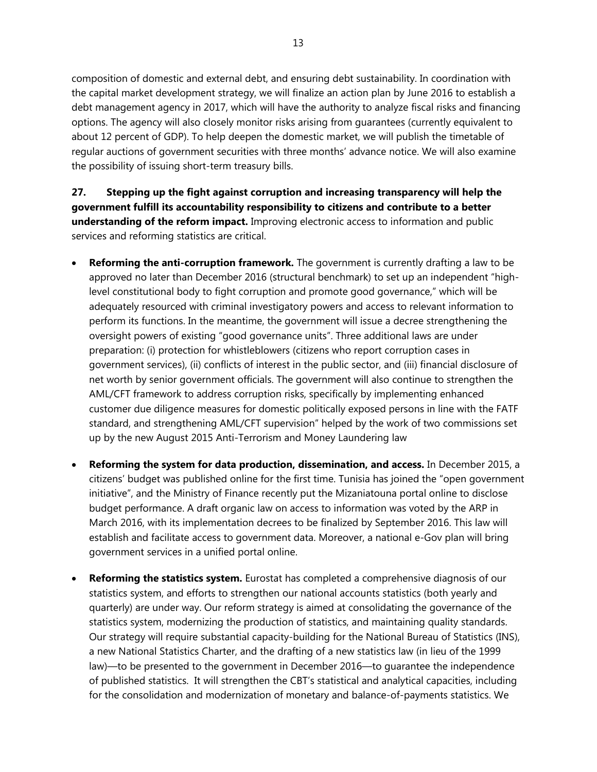composition of domestic and external debt, and ensuring debt sustainability. In coordination with the capital market development strategy, we will finalize an action plan by June 2016 to establish a debt management agency in 2017, which will have the authority to analyze fiscal risks and financing options. The agency will also closely monitor risks arising from guarantees (currently equivalent to about 12 percent of GDP). To help deepen the domestic market, we will publish the timetable of regular auctions of government securities with three months' advance notice. We will also examine the possibility of issuing short-term treasury bills.

**27. Stepping up the fight against corruption and increasing transparency will help the government fulfill its accountability responsibility to citizens and contribute to a better understanding of the reform impact.** Improving electronic access to information and public services and reforming statistics are critical.

- **Reforming the anti-corruption framework.** The government is currently drafting a law to be approved no later than December 2016 (structural benchmark) to set up an independent "highlevel constitutional body to fight corruption and promote good governance," which will be adequately resourced with criminal investigatory powers and access to relevant information to perform its functions. In the meantime, the government will issue a decree strengthening the oversight powers of existing "good governance units". Three additional laws are under preparation: (i) protection for whistleblowers (citizens who report corruption cases in government services), (ii) conflicts of interest in the public sector, and (iii) financial disclosure of net worth by senior government officials. The government will also continue to strengthen the AML/CFT framework to address corruption risks, specifically by implementing enhanced customer due diligence measures for domestic politically exposed persons in line with the FATF standard, and strengthening AML/CFT supervision" helped by the work of two commissions set up by the new August 2015 Anti-Terrorism and Money Laundering law
- **Reforming the system for data production, dissemination, and access.** In December 2015, a citizens' budget was published online for the first time. Tunisia has joined the "open government initiative", and the Ministry of Finance recently put the Mizaniatouna portal online to disclose budget performance. A draft organic law on access to information was voted by the ARP in March 2016, with its implementation decrees to be finalized by September 2016. This law will establish and facilitate access to government data. Moreover, a national e-Gov plan will bring government services in a unified portal online.
- **Reforming the statistics system.** Eurostat has completed a comprehensive diagnosis of our statistics system, and efforts to strengthen our national accounts statistics (both yearly and quarterly) are under way. Our reform strategy is aimed at consolidating the governance of the statistics system, modernizing the production of statistics, and maintaining quality standards. Our strategy will require substantial capacity-building for the National Bureau of Statistics (INS), a new National Statistics Charter, and the drafting of a new statistics law (in lieu of the 1999 law)—to be presented to the government in December 2016—to guarantee the independence of published statistics. It will strengthen the CBT's statistical and analytical capacities, including for the consolidation and modernization of monetary and balance-of-payments statistics. We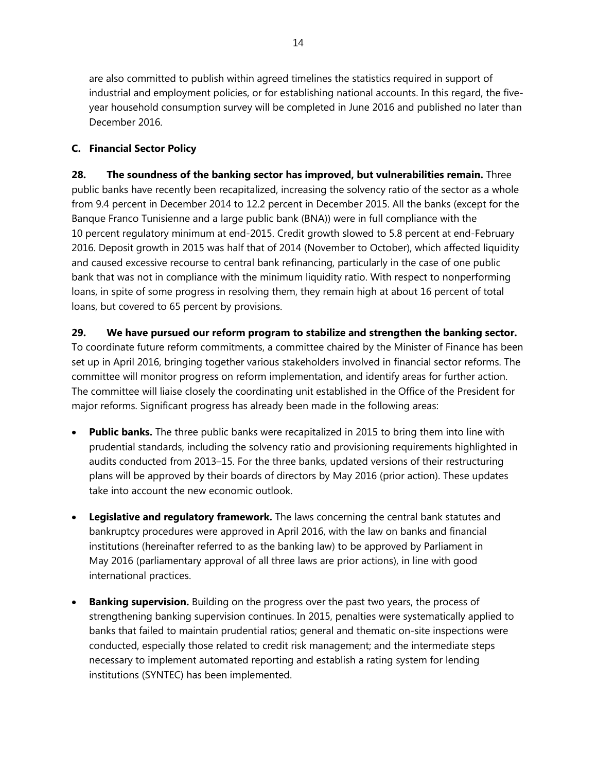are also committed to publish within agreed timelines the statistics required in support of industrial and employment policies, or for establishing national accounts. In this regard, the fiveyear household consumption survey will be completed in June 2016 and published no later than December 2016.

### **C. Financial Sector Policy**

**28. The soundness of the banking sector has improved, but vulnerabilities remain.** Three public banks have recently been recapitalized, increasing the solvency ratio of the sector as a whole from 9.4 percent in December 2014 to 12.2 percent in December 2015. All the banks (except for the Banque Franco Tunisienne and a large public bank (BNA)) were in full compliance with the 10 percent regulatory minimum at end-2015. Credit growth slowed to 5.8 percent at end-February 2016. Deposit growth in 2015 was half that of 2014 (November to October), which affected liquidity and caused excessive recourse to central bank refinancing, particularly in the case of one public bank that was not in compliance with the minimum liquidity ratio. With respect to nonperforming loans, in spite of some progress in resolving them, they remain high at about 16 percent of total loans, but covered to 65 percent by provisions.

### **29. We have pursued our reform program to stabilize and strengthen the banking sector.**

To coordinate future reform commitments, a committee chaired by the Minister of Finance has been set up in April 2016, bringing together various stakeholders involved in financial sector reforms. The committee will monitor progress on reform implementation, and identify areas for further action. The committee will liaise closely the coordinating unit established in the Office of the President for major reforms. Significant progress has already been made in the following areas:

- **Public banks.** The three public banks were recapitalized in 2015 to bring them into line with prudential standards, including the solvency ratio and provisioning requirements highlighted in audits conducted from 2013–15. For the three banks, updated versions of their restructuring plans will be approved by their boards of directors by May 2016 (prior action). These updates take into account the new economic outlook.
- **Legislative and regulatory framework.** The laws concerning the central bank statutes and bankruptcy procedures were approved in April 2016, with the law on banks and financial institutions (hereinafter referred to as the banking law) to be approved by Parliament in May 2016 (parliamentary approval of all three laws are prior actions), in line with good international practices.
- **Banking supervision.** Building on the progress over the past two years, the process of strengthening banking supervision continues. In 2015, penalties were systematically applied to banks that failed to maintain prudential ratios; general and thematic on-site inspections were conducted, especially those related to credit risk management; and the intermediate steps necessary to implement automated reporting and establish a rating system for lending institutions (SYNTEC) has been implemented.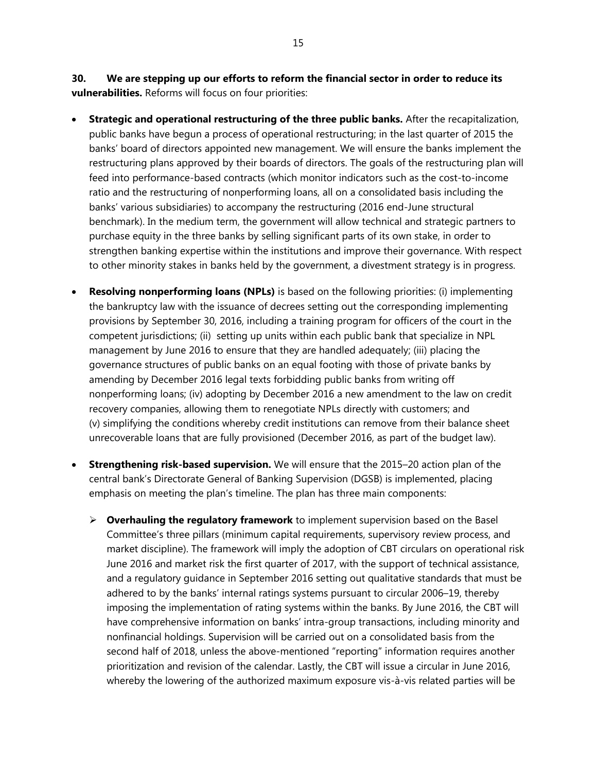**30. We are stepping up our efforts to reform the financial sector in order to reduce its vulnerabilities.** Reforms will focus on four priorities:

- **Strategic and operational restructuring of the three public banks.** After the recapitalization, public banks have begun a process of operational restructuring; in the last quarter of 2015 the banks' board of directors appointed new management. We will ensure the banks implement the restructuring plans approved by their boards of directors. The goals of the restructuring plan will feed into performance-based contracts (which monitor indicators such as the cost-to-income ratio and the restructuring of nonperforming loans, all on a consolidated basis including the banks' various subsidiaries) to accompany the restructuring (2016 end-June structural benchmark). In the medium term, the government will allow technical and strategic partners to purchase equity in the three banks by selling significant parts of its own stake, in order to strengthen banking expertise within the institutions and improve their governance. With respect to other minority stakes in banks held by the government, a divestment strategy is in progress.
- **Resolving nonperforming loans (NPLs)** is based on the following priorities: (i) implementing the bankruptcy law with the issuance of decrees setting out the corresponding implementing provisions by September 30, 2016, including a training program for officers of the court in the competent jurisdictions; (ii) setting up units within each public bank that specialize in NPL management by June 2016 to ensure that they are handled adequately; (iii) placing the governance structures of public banks on an equal footing with those of private banks by amending by December 2016 legal texts forbidding public banks from writing off nonperforming loans; (iv) adopting by December 2016 a new amendment to the law on credit recovery companies, allowing them to renegotiate NPLs directly with customers; and (v) simplifying the conditions whereby credit institutions can remove from their balance sheet unrecoverable loans that are fully provisioned (December 2016, as part of the budget law).
- **Strengthening risk-based supervision.** We will ensure that the 2015–20 action plan of the central bank's Directorate General of Banking Supervision (DGSB) is implemented, placing emphasis on meeting the plan's timeline. The plan has three main components:
	- **Overhauling the regulatory framework** to implement supervision based on the Basel Committee's three pillars (minimum capital requirements, supervisory review process, and market discipline). The framework will imply the adoption of CBT circulars on operational risk June 2016 and market risk the first quarter of 2017, with the support of technical assistance, and a regulatory guidance in September 2016 setting out qualitative standards that must be adhered to by the banks' internal ratings systems pursuant to circular 2006–19, thereby imposing the implementation of rating systems within the banks. By June 2016, the CBT will have comprehensive information on banks' intra-group transactions, including minority and nonfinancial holdings. Supervision will be carried out on a consolidated basis from the second half of 2018, unless the above-mentioned "reporting" information requires another prioritization and revision of the calendar. Lastly, the CBT will issue a circular in June 2016, whereby the lowering of the authorized maximum exposure vis-à-vis related parties will be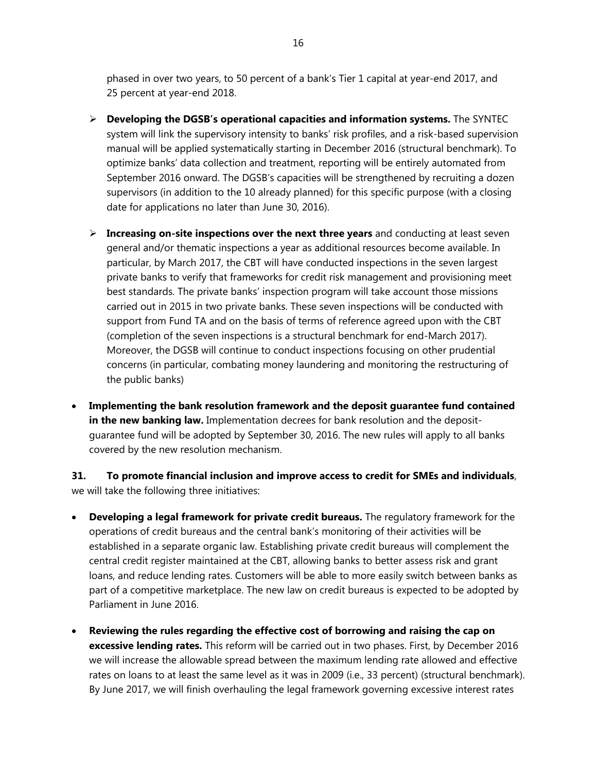phased in over two years, to 50 percent of a bank's Tier 1 capital at year-end 2017, and 25 percent at year-end 2018.

- **Developing the DGSB's operational capacities and information systems.** The SYNTEC system will link the supervisory intensity to banks' risk profiles, and a risk-based supervision manual will be applied systematically starting in December 2016 (structural benchmark). To optimize banks' data collection and treatment, reporting will be entirely automated from September 2016 onward. The DGSB's capacities will be strengthened by recruiting a dozen supervisors (in addition to the 10 already planned) for this specific purpose (with a closing date for applications no later than June 30, 2016).
- **Increasing on-site inspections over the next three years** and conducting at least seven general and/or thematic inspections a year as additional resources become available. In particular, by March 2017, the CBT will have conducted inspections in the seven largest private banks to verify that frameworks for credit risk management and provisioning meet best standards. The private banks' inspection program will take account those missions carried out in 2015 in two private banks. These seven inspections will be conducted with support from Fund TA and on the basis of terms of reference agreed upon with the CBT (completion of the seven inspections is a structural benchmark for end-March 2017). Moreover, the DGSB will continue to conduct inspections focusing on other prudential concerns (in particular, combating money laundering and monitoring the restructuring of the public banks)
- **Implementing the bank resolution framework and the deposit guarantee fund contained in the new banking law.** Implementation decrees for bank resolution and the depositguarantee fund will be adopted by September 30, 2016. The new rules will apply to all banks covered by the new resolution mechanism.

**31. To promote financial inclusion and improve access to credit for SMEs and individuals**, we will take the following three initiatives:

- **Developing a legal framework for private credit bureaus.** The regulatory framework for the operations of credit bureaus and the central bank's monitoring of their activities will be established in a separate organic law. Establishing private credit bureaus will complement the central credit register maintained at the CBT, allowing banks to better assess risk and grant loans, and reduce lending rates. Customers will be able to more easily switch between banks as part of a competitive marketplace. The new law on credit bureaus is expected to be adopted by Parliament in June 2016.
- **Reviewing the rules regarding the effective cost of borrowing and raising the cap on excessive lending rates.** This reform will be carried out in two phases. First, by December 2016 we will increase the allowable spread between the maximum lending rate allowed and effective rates on loans to at least the same level as it was in 2009 (i.e., 33 percent) (structural benchmark). By June 2017, we will finish overhauling the legal framework governing excessive interest rates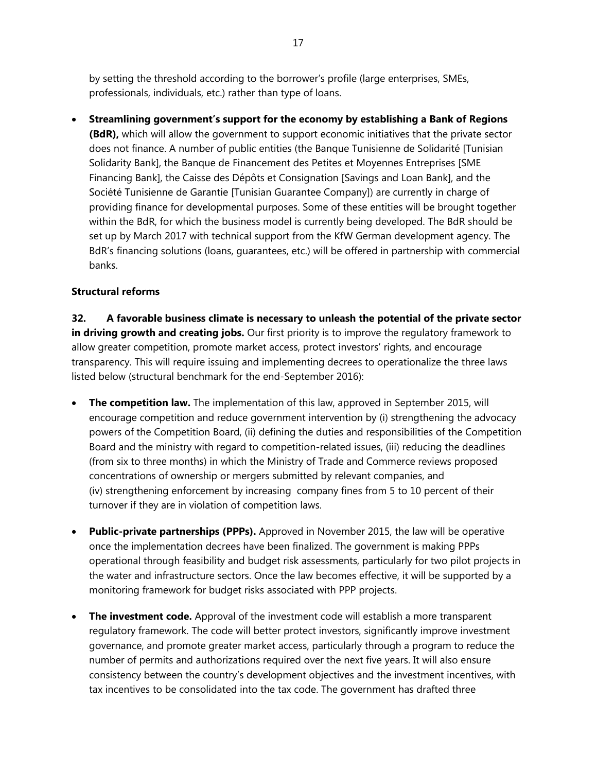by setting the threshold according to the borrower's profile (large enterprises, SMEs, professionals, individuals, etc.) rather than type of loans.

 **Streamlining government's support for the economy by establishing a Bank of Regions (BdR),** which will allow the government to support economic initiatives that the private sector does not finance. A number of public entities (the Banque Tunisienne de Solidarité [Tunisian Solidarity Bank], the Banque de Financement des Petites et Moyennes Entreprises [SME Financing Bank], the Caisse des Dépôts et Consignation [Savings and Loan Bank], and the Société Tunisienne de Garantie [Tunisian Guarantee Company]) are currently in charge of providing finance for developmental purposes. Some of these entities will be brought together within the BdR, for which the business model is currently being developed. The BdR should be set up by March 2017 with technical support from the KfW German development agency. The BdR's financing solutions (loans, guarantees, etc.) will be offered in partnership with commercial banks.

### **Structural reforms**

**32. A favorable business climate is necessary to unleash the potential of the private sector**  in driving growth and creating jobs. Our first priority is to improve the regulatory framework to allow greater competition, promote market access, protect investors' rights, and encourage transparency. This will require issuing and implementing decrees to operationalize the three laws listed below (structural benchmark for the end-September 2016):

- **The competition law.** The implementation of this law, approved in September 2015, will encourage competition and reduce government intervention by (i) strengthening the advocacy powers of the Competition Board, (ii) defining the duties and responsibilities of the Competition Board and the ministry with regard to competition-related issues, (iii) reducing the deadlines (from six to three months) in which the Ministry of Trade and Commerce reviews proposed concentrations of ownership or mergers submitted by relevant companies, and (iv) strengthening enforcement by increasing company fines from 5 to 10 percent of their turnover if they are in violation of competition laws.
- **Public-private partnerships (PPPs).** Approved in November 2015, the law will be operative once the implementation decrees have been finalized. The government is making PPPs operational through feasibility and budget risk assessments, particularly for two pilot projects in the water and infrastructure sectors. Once the law becomes effective, it will be supported by a monitoring framework for budget risks associated with PPP projects.
- **The investment code.** Approval of the investment code will establish a more transparent regulatory framework. The code will better protect investors, significantly improve investment governance, and promote greater market access, particularly through a program to reduce the number of permits and authorizations required over the next five years. It will also ensure consistency between the country's development objectives and the investment incentives, with tax incentives to be consolidated into the tax code. The government has drafted three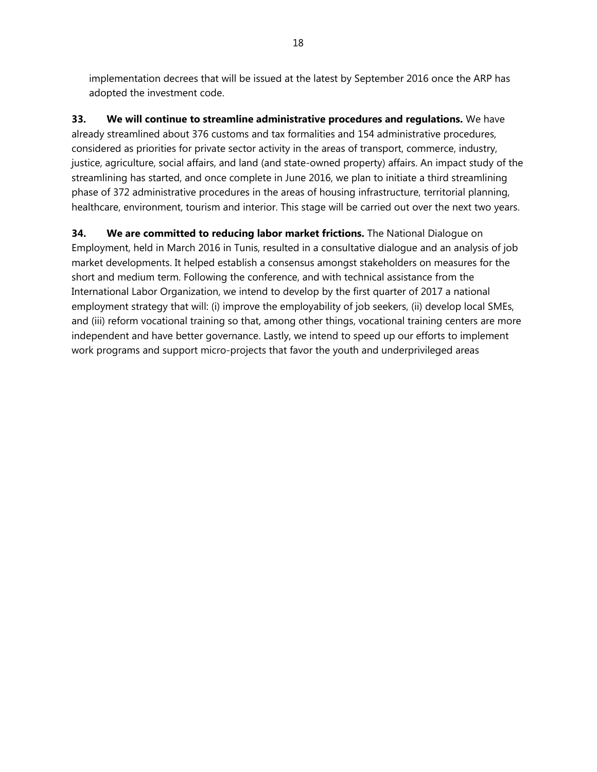implementation decrees that will be issued at the latest by September 2016 once the ARP has adopted the investment code.

**33. We will continue to streamline administrative procedures and regulations.** We have already streamlined about 376 customs and tax formalities and 154 administrative procedures, considered as priorities for private sector activity in the areas of transport, commerce, industry, justice, agriculture, social affairs, and land (and state-owned property) affairs. An impact study of the streamlining has started, and once complete in June 2016, we plan to initiate a third streamlining phase of 372 administrative procedures in the areas of housing infrastructure, territorial planning, healthcare, environment, tourism and interior. This stage will be carried out over the next two years.

**34. We are committed to reducing labor market frictions.** The National Dialogue on Employment, held in March 2016 in Tunis, resulted in a consultative dialogue and an analysis of job market developments. It helped establish a consensus amongst stakeholders on measures for the short and medium term. Following the conference, and with technical assistance from the International Labor Organization, we intend to develop by the first quarter of 2017 a national employment strategy that will: (i) improve the employability of job seekers, (ii) develop local SMEs, and (iii) reform vocational training so that, among other things, vocational training centers are more independent and have better governance. Lastly, we intend to speed up our efforts to implement work programs and support micro-projects that favor the youth and underprivileged areas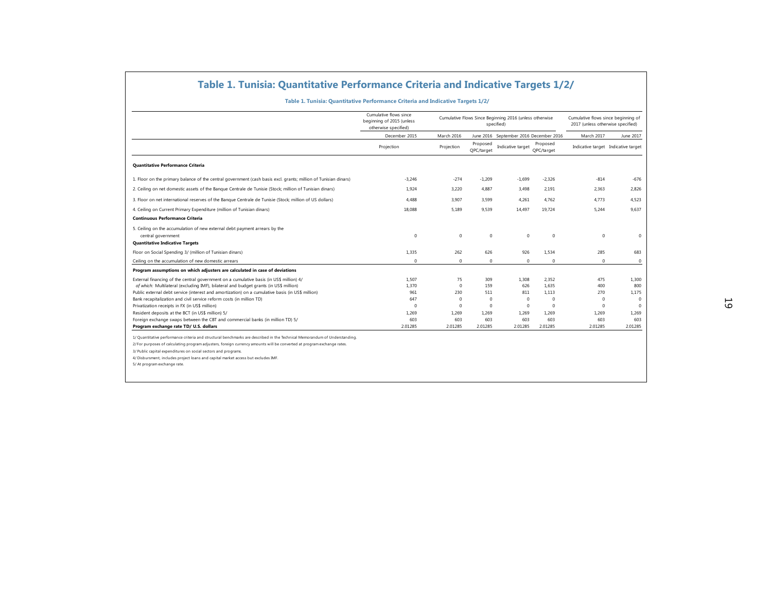### **Table 1. Tunisia: Quantitative Performance Criteria and Indicative Targets 1/2/**

|                                                                                                                 |                                                                                 | Table 1. Tunisia: Quantitative Performance Criteria and Indicative Targets 1/2/ |                                                                       |                                        |                        |                                                                          |             |
|-----------------------------------------------------------------------------------------------------------------|---------------------------------------------------------------------------------|---------------------------------------------------------------------------------|-----------------------------------------------------------------------|----------------------------------------|------------------------|--------------------------------------------------------------------------|-------------|
|                                                                                                                 | Table 1. Tunisia: Quantitative Performance Criteria and Indicative Targets 1/2/ |                                                                                 |                                                                       |                                        |                        |                                                                          |             |
|                                                                                                                 | Cumulative flows since<br>beginning of 2015 (unless<br>otherwise specified)     |                                                                                 | Cumulative Flows Since Beginning 2016 (unless otherwise<br>specified) |                                        |                        | Cumulative flows since beginning of<br>2017 (unless otherwise specified) |             |
|                                                                                                                 | December 2015                                                                   | March 2016                                                                      |                                                                       | June 2016 September 2016 December 2016 |                        | March 2017                                                               | June 2017   |
|                                                                                                                 | Projection                                                                      | Projection                                                                      | Proposed<br>QPC/target                                                | Indicative target                      | Proposed<br>OPC/target | Indicative target Indicative target                                      |             |
| Quantitative Performance Criteria                                                                               |                                                                                 |                                                                                 |                                                                       |                                        |                        |                                                                          |             |
| 1. Floor on the primary balance of the central government (cash basis excl. grants; million of Tunisian dinars) | $-3,246$                                                                        | $-274$                                                                          | $-1,209$                                                              | $-1,699$                               | $-2,326$               | $-814$                                                                   | $-676$      |
| 2. Ceiling on net domestic assets of the Banque Centrale de Tunisie (Stock; million of Tunisian dinars)         | 1,924                                                                           | 3,220                                                                           | 4,887                                                                 | 3,498                                  | 2,191                  | 2,363                                                                    | 2,826       |
| 3. Floor on net international reserves of the Banque Centrale de Tunisie (Stock; million of US dollars)         | 4,488                                                                           | 3,907                                                                           | 3,599                                                                 | 4,261                                  | 4,762                  | 4,773                                                                    | 4,523       |
| 4. Ceiling on Current Primary Expenditure (million of Tunisian dinars)                                          | 18,088                                                                          | 5,189                                                                           | 9,539                                                                 | 14,497                                 | 19,724                 | 5,244                                                                    | 9,637       |
| <b>Continuous Performance Criteria</b>                                                                          |                                                                                 |                                                                                 |                                                                       |                                        |                        |                                                                          |             |
| 5. Ceiling on the accumulation of new external debt payment arrears by the                                      |                                                                                 |                                                                                 |                                                                       |                                        |                        |                                                                          |             |
| central government                                                                                              | $\Omega$                                                                        | $\mathbf 0$                                                                     | $\mathbf{0}$                                                          | $\mathbf 0$                            | $\mathbf{0}$           | $^{\circ}$                                                               | $\Omega$    |
| <b>Quantitative Indicative Targets</b>                                                                          |                                                                                 |                                                                                 |                                                                       |                                        |                        |                                                                          |             |
| Floor on Social Spending 3/ (million of Tunisian dinars)                                                        | 1,335                                                                           | 262                                                                             | 626                                                                   | 926                                    | 1,534                  | 285                                                                      | 683         |
| Ceiling on the accumulation of new domestic arrears                                                             | $\Omega$                                                                        | $\mathbf{0}$                                                                    | $\Omega$                                                              | $\mathbf{0}$                           | $\mathbf{0}$           | $\Omega$                                                                 | $\mathbf 0$ |
| Program assumptions on which adjusters are calculated in case of deviations                                     |                                                                                 |                                                                                 |                                                                       |                                        |                        |                                                                          |             |
| External financing of the central government on a cumulative basis (in US\$ million) 4/                         | 1,507                                                                           | 75                                                                              | 309                                                                   | 1,308                                  | 2,352                  | 475                                                                      | 1,300       |
| of which: Multilateral (excluding IMF), bilateral and budget grants (in US\$ million)                           | 1.370                                                                           | $\Omega$                                                                        | 159                                                                   | 626                                    | 1,635                  | 400                                                                      | 800         |
| Public external debt service (interest and amortization) on a cumulative basis (in US\$ million)                | 961                                                                             | 230                                                                             | 511                                                                   | 811                                    | 1.113                  | 270                                                                      | 1,175       |
| Bank recapitalization and civil service reform costs (in million TD)                                            | 647                                                                             | $\overline{0}$                                                                  | $^{\circ}$                                                            | $\mathbf 0$                            | $\mathbf 0$            | $\Omega$                                                                 | $\mathbf 0$ |
| Privatization receipts in FX (in US\$ million)                                                                  | $\Omega$                                                                        | $\mathbf{0}$                                                                    | $\mathbf 0$                                                           | $\Omega$                               | $\mathbf 0$            | $^{\circ}$                                                               | $\mathbf 0$ |
| Resident deposits at the BCT (in US\$ million) 5/                                                               | 1,269                                                                           | 1,269                                                                           | 1,269                                                                 | 1,269                                  | 1,269                  | 1,269                                                                    | 1,269       |
| Foreign exchange swaps between the CBT and commercial banks (in million TD) 5/                                  | 603<br>2.01285                                                                  | 603                                                                             | 603                                                                   | 603                                    | 603                    | 603                                                                      | 603         |

2/ For purposes of calculating program adjusters, foreign currency amounts will be converted at program exchange rates.

3/ Public capital expenditures on social sectors and programs. 4/ Disbursment, includes project loans and capital market access but excludes IMF.

5/ At program exchange rate.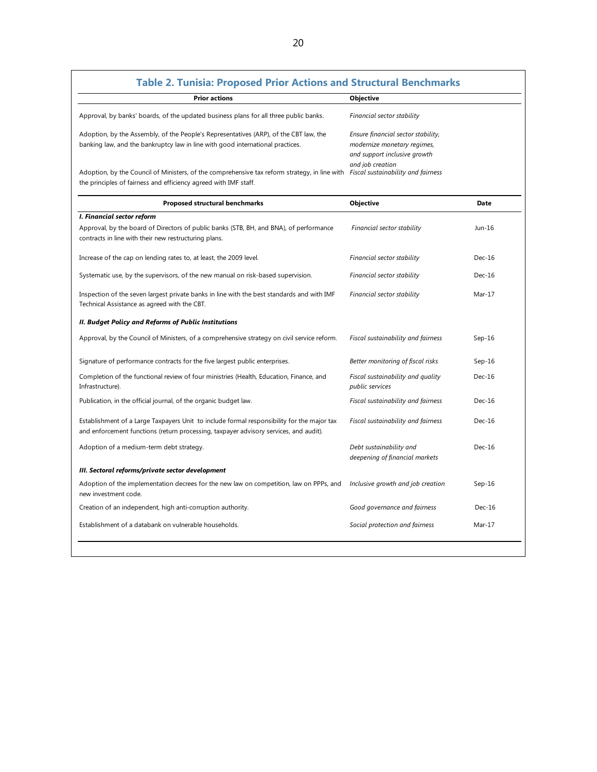| <b>Prior actions</b>                                                                                                                                                                                 | <b>Objective</b>                                                                                  |          |
|------------------------------------------------------------------------------------------------------------------------------------------------------------------------------------------------------|---------------------------------------------------------------------------------------------------|----------|
| Approval, by banks' boards, of the updated business plans for all three public banks.                                                                                                                | Financial sector stability                                                                        |          |
| Adoption, by the Assembly, of the People's Representatives (ARP), of the CBT law, the<br>banking law, and the bankruptcy law in line with good international practices.                              | Ensure financial sector stability,<br>modernize monetary regimes,<br>and support inclusive growth |          |
| Adoption, by the Council of Ministers, of the comprehensive tax reform strategy, in line with Fiscal sustainability and fairness<br>the principles of fairness and efficiency agreed with IMF staff. | and job creation                                                                                  |          |
| Proposed structural benchmarks                                                                                                                                                                       | Objective                                                                                         | Date     |
| I. Financial sector reform                                                                                                                                                                           |                                                                                                   |          |
| Approval, by the board of Directors of public banks (STB, BH, and BNA), of performance<br>contracts in line with their new restructuring plans.                                                      | Financial sector stability                                                                        | Jun-16   |
| Increase of the cap on lending rates to, at least, the 2009 level.                                                                                                                                   | Financial sector stability                                                                        | $Dec-16$ |
| Systematic use, by the supervisors, of the new manual on risk-based supervision.                                                                                                                     | Financial sector stability                                                                        | $Dec-16$ |
| Inspection of the seven largest private banks in line with the best standards and with IMF<br>Technical Assistance as agreed with the CBT.                                                           | Financial sector stability                                                                        | $Mar-17$ |
| II. Budget Policy and Reforms of Public Institutions                                                                                                                                                 |                                                                                                   |          |
| Approval, by the Council of Ministers, of a comprehensive strategy on civil service reform.                                                                                                          | Fiscal sustainability and fairness                                                                | $Sep-16$ |
| Signature of performance contracts for the five largest public enterprises.                                                                                                                          | Better monitoring of fiscal risks                                                                 | $Sep-16$ |
| Completion of the functional review of four ministries (Health, Education, Finance, and<br>Infrastructure).                                                                                          | Fiscal sustainability and quality<br>public services                                              | $Dec-16$ |
| Publication, in the official journal, of the organic budget law.                                                                                                                                     | Fiscal sustainability and fairness                                                                | $Dec-16$ |
| Establishment of a Large Taxpayers Unit to include formal responsibility for the major tax<br>and enforcement functions (return processing, taxpayer advisory services, and audit).                  | Fiscal sustainability and fairness                                                                | $Dec-16$ |
| Adoption of a medium-term debt strategy.                                                                                                                                                             | Debt sustainability and<br>deepening of financial markets                                         | $Dec-16$ |
| III. Sectoral reforms/private sector development                                                                                                                                                     |                                                                                                   |          |
| Adoption of the implementation decrees for the new law on competition, law on PPPs, and<br>new investment code.                                                                                      | Inclusive growth and job creation                                                                 | $Sep-16$ |
| Creation of an independent, high anti-corruption authority.                                                                                                                                          | Good governance and fairness                                                                      | $Dec-16$ |
| Establishment of a databank on vulnerable households.                                                                                                                                                | Social protection and fairness                                                                    | Mar-17   |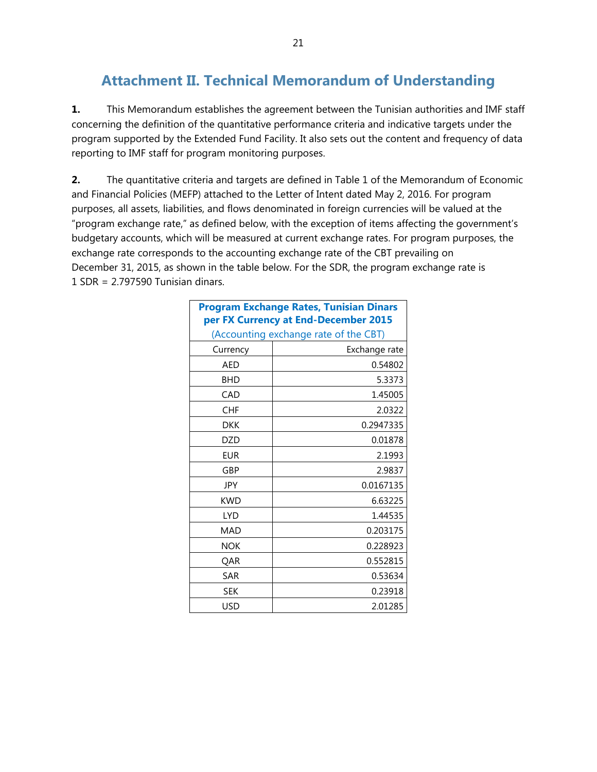# **Attachment II. Technical Memorandum of Understanding**

**1.** This Memorandum establishes the agreement between the Tunisian authorities and IMF staff concerning the definition of the quantitative performance criteria and indicative targets under the program supported by the Extended Fund Facility. It also sets out the content and frequency of data reporting to IMF staff for program monitoring purposes.

**2.** The quantitative criteria and targets are defined in Table 1 of the Memorandum of Economic and Financial Policies (MEFP) attached to the Letter of Intent dated May 2, 2016. For program purposes, all assets, liabilities, and flows denominated in foreign currencies will be valued at the "program exchange rate," as defined below, with the exception of items affecting the government's budgetary accounts, which will be measured at current exchange rates. For program purposes, the exchange rate corresponds to the accounting exchange rate of the CBT prevailing on December 31, 2015, as shown in the table below. For the SDR, the program exchange rate is 1 SDR = 2.797590 Tunisian dinars.

|            | <b>Program Exchange Rates, Tunisian Dinars</b><br>per FX Currency at End-December 2015 |
|------------|----------------------------------------------------------------------------------------|
|            | (Accounting exchange rate of the CBT)                                                  |
| Currency   | Exchange rate                                                                          |
| <b>AED</b> | 0.54802                                                                                |
| <b>BHD</b> | 5.3373                                                                                 |
| CAD        | 1.45005                                                                                |
| <b>CHF</b> | 2.0322                                                                                 |
| <b>DKK</b> | 0.2947335                                                                              |
| <b>DZD</b> | 0.01878                                                                                |
| <b>EUR</b> | 2.1993                                                                                 |
| GBP        | 2.9837                                                                                 |
| <b>JPY</b> | 0.0167135                                                                              |
| <b>KWD</b> | 6.63225                                                                                |
| <b>LYD</b> | 1.44535                                                                                |
| <b>MAD</b> | 0.203175                                                                               |
| <b>NOK</b> | 0.228923                                                                               |
| QAR        | 0.552815                                                                               |
| <b>SAR</b> | 0.53634                                                                                |
| <b>SEK</b> | 0.23918                                                                                |
| USD        | 2.01285                                                                                |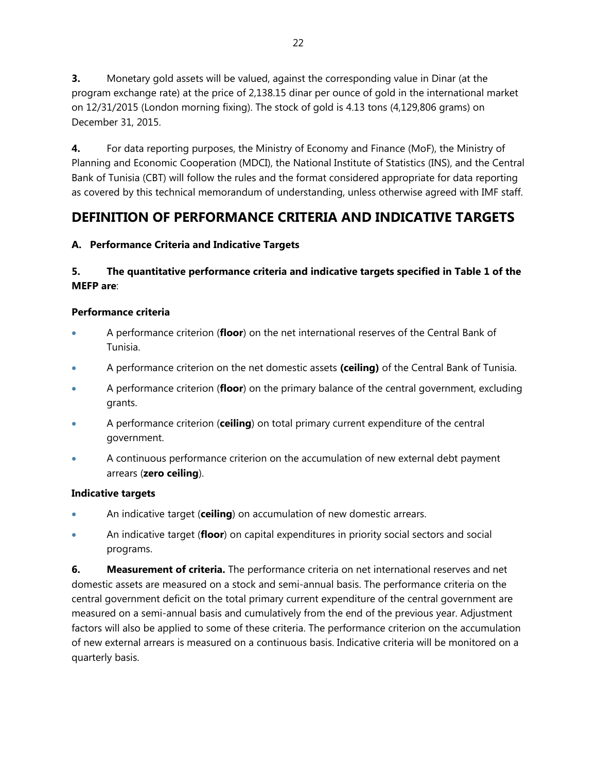**3.** Monetary gold assets will be valued, against the corresponding value in Dinar (at the program exchange rate) at the price of 2,138.15 dinar per ounce of gold in the international market on 12/31/2015 (London morning fixing). The stock of gold is 4.13 tons (4,129,806 grams) on December 31, 2015.

**4.** For data reporting purposes, the Ministry of Economy and Finance (MoF), the Ministry of Planning and Economic Cooperation (MDCI), the National Institute of Statistics (INS), and the Central Bank of Tunisia (CBT) will follow the rules and the format considered appropriate for data reporting as covered by this technical memorandum of understanding, unless otherwise agreed with IMF staff.

# **DEFINITION OF PERFORMANCE CRITERIA AND INDICATIVE TARGETS**

## **A. Performance Criteria and Indicative Targets**

## **5. The quantitative performance criteria and indicative targets specified in Table 1 of the MEFP are**:

### **Performance criteria**

- A performance criterion (**floor**) on the net international reserves of the Central Bank of Tunisia.
- A performance criterion on the net domestic assets **(ceiling)** of the Central Bank of Tunisia.
- A performance criterion (**floor**) on the primary balance of the central government, excluding grants.
- A performance criterion (**ceiling**) on total primary current expenditure of the central government.
- A continuous performance criterion on the accumulation of new external debt payment arrears (**zero ceiling**).

### **Indicative targets**

- An indicative target (**ceiling**) on accumulation of new domestic arrears.
- An indicative target (**floor**) on capital expenditures in priority social sectors and social programs.

**6. Measurement of criteria.** The performance criteria on net international reserves and net domestic assets are measured on a stock and semi-annual basis. The performance criteria on the central government deficit on the total primary current expenditure of the central government are measured on a semi-annual basis and cumulatively from the end of the previous year. Adjustment factors will also be applied to some of these criteria. The performance criterion on the accumulation of new external arrears is measured on a continuous basis. Indicative criteria will be monitored on a quarterly basis.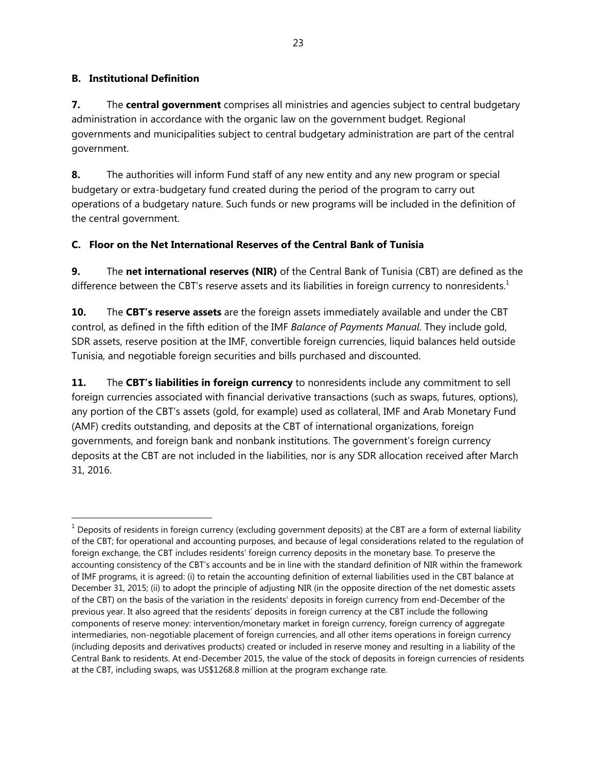### **B. Institutional Definition**

-

**7.** The **central government** comprises all ministries and agencies subject to central budgetary administration in accordance with the organic law on the government budget. Regional governments and municipalities subject to central budgetary administration are part of the central government.

**8.** The authorities will inform Fund staff of any new entity and any new program or special budgetary or extra-budgetary fund created during the period of the program to carry out operations of a budgetary nature. Such funds or new programs will be included in the definition of the central government.

### **C. Floor on the Net International Reserves of the Central Bank of Tunisia**

**9.** The **net international reserves (NIR)** of the Central Bank of Tunisia (CBT) are defined as the difference between the CBT's reserve assets and its liabilities in foreign currency to nonresidents. $1$ 

**10.** The **CBT's reserve assets** are the foreign assets immediately available and under the CBT control, as defined in the fifth edition of the IMF *Balance of Payments Manual*. They include gold, SDR assets, reserve position at the IMF, convertible foreign currencies, liquid balances held outside Tunisia, and negotiable foreign securities and bills purchased and discounted.

**11.** The **CBT's liabilities in foreign currency** to nonresidents include any commitment to sell foreign currencies associated with financial derivative transactions (such as swaps, futures, options), any portion of the CBT's assets (gold, for example) used as collateral, IMF and Arab Monetary Fund (AMF) credits outstanding, and deposits at the CBT of international organizations, foreign governments, and foreign bank and nonbank institutions. The government's foreign currency deposits at the CBT are not included in the liabilities, nor is any SDR allocation received after March 31, 2016.

 $1$  Deposits of residents in foreign currency (excluding government deposits) at the CBT are a form of external liability of the CBT; for operational and accounting purposes, and because of legal considerations related to the regulation of foreign exchange, the CBT includes residents' foreign currency deposits in the monetary base. To preserve the accounting consistency of the CBT's accounts and be in line with the standard definition of NIR within the framework of IMF programs, it is agreed: (i) to retain the accounting definition of external liabilities used in the CBT balance at December 31, 2015; (ii) to adopt the principle of adjusting NIR (in the opposite direction of the net domestic assets of the CBT) on the basis of the variation in the residents' deposits in foreign currency from end-December of the previous year. It also agreed that the residents' deposits in foreign currency at the CBT include the following components of reserve money: intervention/monetary market in foreign currency, foreign currency of aggregate intermediaries, non-negotiable placement of foreign currencies, and all other items operations in foreign currency (including deposits and derivatives products) created or included in reserve money and resulting in a liability of the Central Bank to residents. At end-December 2015, the value of the stock of deposits in foreign currencies of residents at the CBT, including swaps, was US\$1268.8 million at the program exchange rate.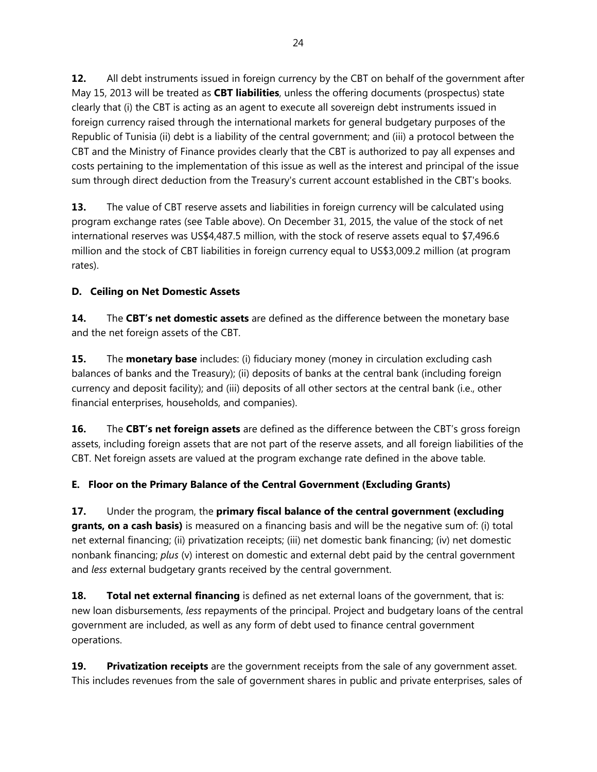**12.** All debt instruments issued in foreign currency by the CBT on behalf of the government after May 15, 2013 will be treated as **CBT liabilities**, unless the offering documents (prospectus) state clearly that (i) the CBT is acting as an agent to execute all sovereign debt instruments issued in foreign currency raised through the international markets for general budgetary purposes of the Republic of Tunisia (ii) debt is a liability of the central government; and (iii) a protocol between the CBT and the Ministry of Finance provides clearly that the CBT is authorized to pay all expenses and costs pertaining to the implementation of this issue as well as the interest and principal of the issue sum through direct deduction from the Treasury's current account established in the CBT's books.

**13.** The value of CBT reserve assets and liabilities in foreign currency will be calculated using program exchange rates (see Table above). On December 31, 2015, the value of the stock of net international reserves was US\$4,487.5 million, with the stock of reserve assets equal to \$7,496.6 million and the stock of CBT liabilities in foreign currency equal to US\$3,009.2 million (at program rates).

### **D. Ceiling on Net Domestic Assets**

**14.** The **CBT's net domestic assets** are defined as the difference between the monetary base and the net foreign assets of the CBT.

**15.** The **monetary base** includes: (i) fiduciary money (money in circulation excluding cash balances of banks and the Treasury); (ii) deposits of banks at the central bank (including foreign currency and deposit facility); and (iii) deposits of all other sectors at the central bank (i.e., other financial enterprises, households, and companies).

**16.** The **CBT's net foreign assets** are defined as the difference between the CBT's gross foreign assets, including foreign assets that are not part of the reserve assets, and all foreign liabilities of the CBT. Net foreign assets are valued at the program exchange rate defined in the above table.

### **E. Floor on the Primary Balance of the Central Government (Excluding Grants)**

**17.** Under the program, the **primary fiscal balance of the central government (excluding**  grants, on a cash basis) is measured on a financing basis and will be the negative sum of: (i) total net external financing; (ii) privatization receipts; (iii) net domestic bank financing; (iv) net domestic nonbank financing; *plus* (v) interest on domestic and external debt paid by the central government and *less* external budgetary grants received by the central government.

**18. Total net external financing** is defined as net external loans of the government, that is: new loan disbursements, *less* repayments of the principal. Project and budgetary loans of the central government are included, as well as any form of debt used to finance central government operations.

**19. Privatization receipts** are the government receipts from the sale of any government asset. This includes revenues from the sale of government shares in public and private enterprises, sales of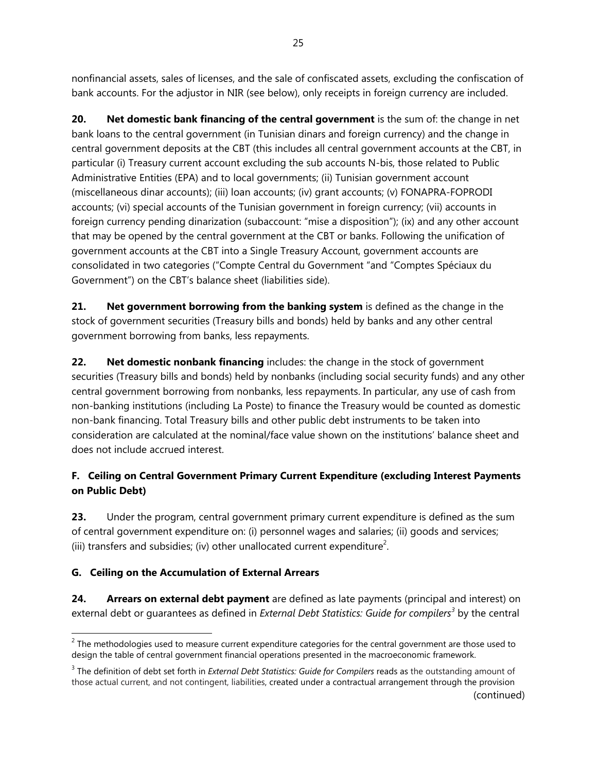nonfinancial assets, sales of licenses, and the sale of confiscated assets, excluding the confiscation of bank accounts. For the adjustor in NIR (see below), only receipts in foreign currency are included.

**20. Net domestic bank financing of the central government** is the sum of: the change in net bank loans to the central government (in Tunisian dinars and foreign currency) and the change in central government deposits at the CBT (this includes all central government accounts at the CBT, in particular (i) Treasury current account excluding the sub accounts N-bis, those related to Public Administrative Entities (EPA) and to local governments; (ii) Tunisian government account (miscellaneous dinar accounts); (iii) loan accounts; (iv) grant accounts; (v) FONAPRA-FOPRODI accounts; (vi) special accounts of the Tunisian government in foreign currency; (vii) accounts in foreign currency pending dinarization (subaccount: "mise a disposition"); (ix) and any other account that may be opened by the central government at the CBT or banks. Following the unification of government accounts at the CBT into a Single Treasury Account, government accounts are consolidated in two categories ("Compte Central du Government "and "Comptes Spéciaux du Government") on the CBT's balance sheet (liabilities side).

**21. Net government borrowing from the banking system** is defined as the change in the stock of government securities (Treasury bills and bonds) held by banks and any other central government borrowing from banks, less repayments.

**22. Net domestic nonbank financing** includes: the change in the stock of government securities (Treasury bills and bonds) held by nonbanks (including social security funds) and any other central government borrowing from nonbanks, less repayments. In particular, any use of cash from non-banking institutions (including La Poste) to finance the Treasury would be counted as domestic non-bank financing. Total Treasury bills and other public debt instruments to be taken into consideration are calculated at the nominal/face value shown on the institutions' balance sheet and does not include accrued interest.

## **F. Ceiling on Central Government Primary Current Expenditure (excluding Interest Payments on Public Debt)**

**23.** Under the program, central government primary current expenditure is defined as the sum of central government expenditure on: (i) personnel wages and salaries; (ii) goods and services; (iii) transfers and subsidies; (iv) other unallocated current expenditure<sup>2</sup>.

### **G. Ceiling on the Accumulation of External Arrears**

**24. Arrears on external debt payment** are defined as late payments (principal and interest) on external debt or guarantees as defined in *External Debt Statistics: Guide for compilers<sup>3</sup>* by the central

<sup>-</sup> $2$  The methodologies used to measure current expenditure categories for the central government are those used to design the table of central government financial operations presented in the macroeconomic framework.

<sup>&</sup>lt;sup>3</sup> The definition of debt set forth in *External Debt Statistics: Guide for Compilers* reads as the outstanding amount of those actual current, and not contingent, liabilities, created under a contractual arrangement through the provision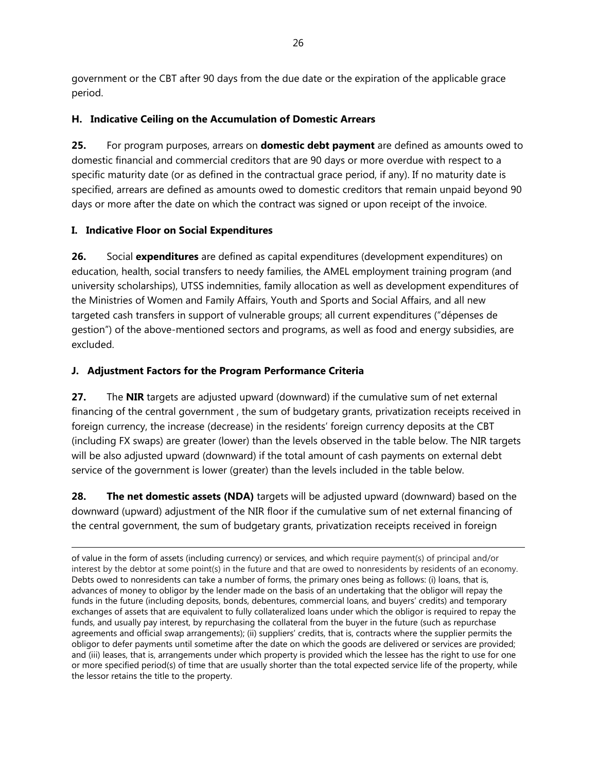government or the CBT after 90 days from the due date or the expiration of the applicable grace period.

### **H. Indicative Ceiling on the Accumulation of Domestic Arrears**

**25.** For program purposes, arrears on **domestic debt payment** are defined as amounts owed to domestic financial and commercial creditors that are 90 days or more overdue with respect to a specific maturity date (or as defined in the contractual grace period, if any). If no maturity date is specified, arrears are defined as amounts owed to domestic creditors that remain unpaid beyond 90 days or more after the date on which the contract was signed or upon receipt of the invoice.

### **I. Indicative Floor on Social Expenditures**

-

**26.** Social **expenditures** are defined as capital expenditures (development expenditures) on education, health, social transfers to needy families, the AMEL employment training program (and university scholarships), UTSS indemnities, family allocation as well as development expenditures of the Ministries of Women and Family Affairs, Youth and Sports and Social Affairs, and all new targeted cash transfers in support of vulnerable groups; all current expenditures ("dépenses de gestion") of the above-mentioned sectors and programs, as well as food and energy subsidies, are excluded.

## **J. Adjustment Factors for the Program Performance Criteria**

**27.** The **NIR** targets are adjusted upward (downward) if the cumulative sum of net external financing of the central government , the sum of budgetary grants, privatization receipts received in foreign currency, the increase (decrease) in the residents' foreign currency deposits at the CBT (including FX swaps) are greater (lower) than the levels observed in the table below. The NIR targets will be also adjusted upward (downward) if the total amount of cash payments on external debt service of the government is lower (greater) than the levels included in the table below.

**28. The net domestic assets (NDA)** targets will be adjusted upward (downward) based on the downward (upward) adjustment of the NIR floor if the cumulative sum of net external financing of the central government, the sum of budgetary grants, privatization receipts received in foreign

of value in the form of assets (including currency) or services, and which require payment(s) of principal and/or interest by the debtor at some point(s) in the future and that are owed to nonresidents by residents of an economy. Debts owed to nonresidents can take a number of forms, the primary ones being as follows: (i) loans, that is, advances of money to obligor by the lender made on the basis of an undertaking that the obligor will repay the funds in the future (including deposits, bonds, debentures, commercial loans, and buyers' credits) and temporary exchanges of assets that are equivalent to fully collateralized loans under which the obligor is required to repay the funds, and usually pay interest, by repurchasing the collateral from the buyer in the future (such as repurchase agreements and official swap arrangements); (ii) suppliers' credits, that is, contracts where the supplier permits the obligor to defer payments until sometime after the date on which the goods are delivered or services are provided; and (iii) leases, that is, arrangements under which property is provided which the lessee has the right to use for one or more specified period(s) of time that are usually shorter than the total expected service life of the property, while the lessor retains the title to the property.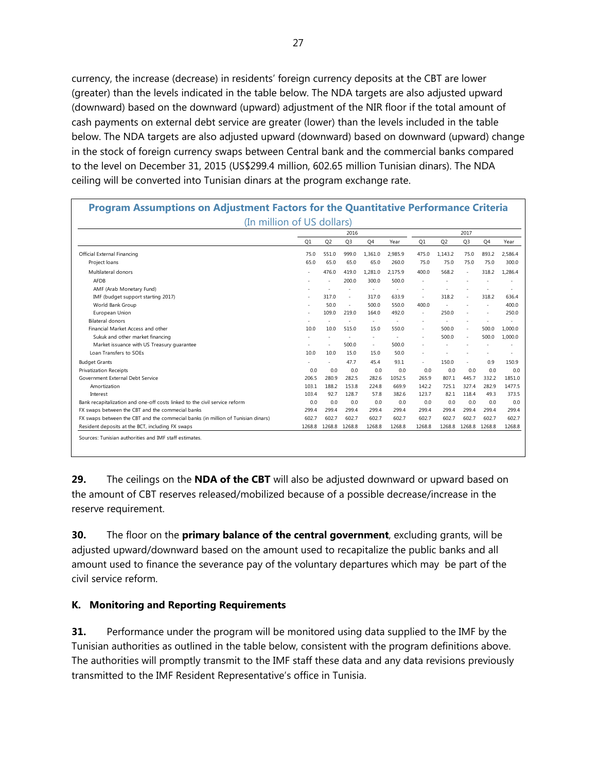currency, the increase (decrease) in residents' foreign currency deposits at the CBT are lower (greater) than the levels indicated in the table below. The NDA targets are also adjusted upward (downward) based on the downward (upward) adjustment of the NIR floor if the total amount of cash payments on external debt service are greater (lower) than the levels included in the table below. The NDA targets are also adjusted upward (downward) based on downward (upward) change in the stock of foreign currency swaps between Central bank and the commercial banks compared to the level on December 31, 2015 (US\$299.4 million, 602.65 million Tunisian dinars). The NDA ceiling will be converted into Tunisian dinars at the program exchange rate.

| (In million of US dollars)                                                       |        |                |                |                          |         |        |                |                |        |         |
|----------------------------------------------------------------------------------|--------|----------------|----------------|--------------------------|---------|--------|----------------|----------------|--------|---------|
|                                                                                  | 2016   |                |                |                          | 2017    |        |                |                |        |         |
|                                                                                  | Q1     | Q <sub>2</sub> | Q <sub>3</sub> | Q4                       | Year    | Q1     | Q <sub>2</sub> | Q <sub>3</sub> | Q4     | Year    |
| Official External Financing                                                      | 75.0   | 551.0          | 999.0          | 1.361.0                  | 2.985.9 | 475.0  | 1.143.2        | 75.0           | 893.2  | 2.586.4 |
| Project loans                                                                    | 65.0   | 65.0           | 65.0           | 65.0                     | 260.0   | 75.0   | 75.0           | 75.0           | 75.0   | 300.0   |
| Multilateral donors                                                              | ٠      | 476.0          | 419.0          | 1,281.0                  | 2.175.9 | 400.0  | 568.2          | ä,             | 318.2  | 1.286.4 |
| <b>AFDB</b>                                                                      |        | ٠              | 200.0          | 300.0                    | 500.0   |        |                |                |        |         |
| AMF (Arab Monetary Fund)                                                         |        |                |                |                          |         |        |                |                |        |         |
| IMF (budget support starting 2017)                                               | ٠      | 317.0          | $\sim$         | 317.0                    | 633.9   | ٠      | 318.2          | ×              | 318.2  | 636.4   |
| World Bank Group                                                                 |        | 50.0           | $\sim$         | 500.0                    | 550.0   | 400.0  |                |                | ٠      | 400.0   |
| European Union                                                                   | ٠      | 109.0          | 219.0          | 164.0                    | 492.0   | ٠      | 250.0          |                | ٠      | 250.0   |
| <b>Bilateral donors</b>                                                          |        |                |                |                          |         | ٠      |                |                |        |         |
| Financial Market Access and other                                                | 10.0   | 10.0           | 515.0          | 15.0                     | 550.0   | ٠      | 500.0          | $\sim$         | 500.0  | 1.000.0 |
| Sukuk and other market financing                                                 |        | ٠              | ٠              | $\overline{\phantom{a}}$ |         |        | 500.0          | $\sim$         | 500.0  | 1.000.0 |
| Market issuance with US Treasury guarantee                                       | ٠      | ٠              | 500.0          | $\sim$                   | 500.0   |        |                |                |        |         |
| Loan Transfers to SOEs                                                           | 10.0   | 10.0           | 15.0           | 15.0                     | 50.0    | ٠      |                |                |        |         |
| <b>Budget Grants</b>                                                             |        | ٠              | 47.7           | 45.4                     | 93.1    | ٠      | 150.0          | ×.             | 0.9    | 150.9   |
| <b>Privatization Receipts</b>                                                    | 0.0    | 0.0            | 0.0            | 0.0                      | 0.0     | 0.0    | 0.0            | 0.0            | 0.0    | 0.0     |
| Government External Debt Service                                                 | 206.5  | 280.9          | 282.5          | 282.6                    | 1052.5  | 265.9  | 807.1          | 445.7          | 332.2  | 1851.0  |
| Amortization                                                                     | 103.1  | 188.2          | 153.8          | 224.8                    | 669.9   | 142.2  | 725.1          | 327.4          | 282.9  | 1477.5  |
| Interest                                                                         | 103.4  | 92.7           | 128.7          | 57.8                     | 382.6   | 123.7  | 82.1           | 118.4          | 49.3   | 373.5   |
| Bank recapitalization and one-off costs linked to the civil service reform       | 0.0    | 0.0            | 0.0            | 0.0                      | 0.0     | 0.0    | 0.0            | 0.0            | 0.0    | 0.0     |
| FX swaps between the CBT and the commecial banks                                 | 299.4  | 299.4          | 299.4          | 299.4                    | 299.4   | 299.4  | 299.4          | 299.4          | 299.4  | 299.4   |
| FX swaps between the CBT and the commecial banks (in million of Tunisian dinars) | 602.7  | 602.7          | 602.7          | 602.7                    | 602.7   | 602.7  | 602.7          | 602.7          | 602.7  | 602.7   |
| Resident deposits at the BCT, including FX swaps                                 | 1268.8 | 1268.8         | 1268.8         | 1268.8                   | 1268.8  | 1268.8 | 1268.8         | 1268.8         | 1268.8 | 1268.8  |

**29.** The ceilings on the **NDA of the CBT** will also be adjusted downward or upward based on the amount of CBT reserves released/mobilized because of a possible decrease/increase in the reserve requirement.

**30.** The floor on the **primary balance of the central government**, excluding grants, will be adjusted upward/downward based on the amount used to recapitalize the public banks and all amount used to finance the severance pay of the voluntary departures which may be part of the civil service reform.

### **K. Monitoring and Reporting Requirements**

**31.** Performance under the program will be monitored using data supplied to the IMF by the Tunisian authorities as outlined in the table below, consistent with the program definitions above. The authorities will promptly transmit to the IMF staff these data and any data revisions previously transmitted to the IMF Resident Representative's office in Tunisia.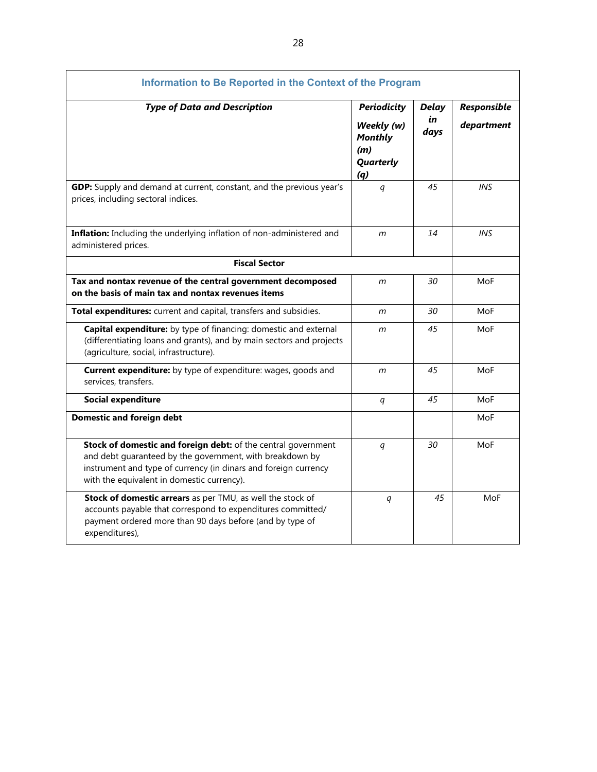| Information to Be Reported in the Context of the Program                                                                                                                                                                                   |                                                                               |                            |                           |
|--------------------------------------------------------------------------------------------------------------------------------------------------------------------------------------------------------------------------------------------|-------------------------------------------------------------------------------|----------------------------|---------------------------|
| <b>Type of Data and Description</b>                                                                                                                                                                                                        | <b>Periodicity</b><br>Weekly (w)<br><b>Monthly</b><br>(m)<br>Quarterly<br>(q) | <b>Delay</b><br>in<br>days | Responsible<br>department |
| GDP: Supply and demand at current, constant, and the previous year's<br>prices, including sectoral indices.                                                                                                                                | q                                                                             | 45                         | <b>INS</b>                |
| Inflation: Including the underlying inflation of non-administered and<br>administered prices.                                                                                                                                              | m                                                                             | 14                         | <b>INS</b>                |
| <b>Fiscal Sector</b>                                                                                                                                                                                                                       |                                                                               |                            |                           |
| Tax and nontax revenue of the central government decomposed<br>on the basis of main tax and nontax revenues items                                                                                                                          | m                                                                             | 30                         | MoF                       |
| Total expenditures: current and capital, transfers and subsidies.                                                                                                                                                                          | m                                                                             | 30                         | MoF                       |
| Capital expenditure: by type of financing: domestic and external<br>(differentiating loans and grants), and by main sectors and projects<br>(agriculture, social, infrastructure).                                                         | m                                                                             | 45                         | MoF                       |
| <b>Current expenditure:</b> by type of expenditure: wages, goods and<br>services, transfers.                                                                                                                                               | m                                                                             | 45                         | MoF                       |
| <b>Social expenditure</b>                                                                                                                                                                                                                  | q                                                                             | 45                         | MoF                       |
| <b>Domestic and foreign debt</b>                                                                                                                                                                                                           |                                                                               |                            | MoF                       |
| Stock of domestic and foreign debt: of the central government<br>and debt guaranteed by the government, with breakdown by<br>instrument and type of currency (in dinars and foreign currency<br>with the equivalent in domestic currency). | q                                                                             | 30                         | MoF                       |
| Stock of domestic arrears as per TMU, as well the stock of<br>accounts payable that correspond to expenditures committed/<br>payment ordered more than 90 days before (and by type of<br>expenditures),                                    | q                                                                             | 45                         | MoF                       |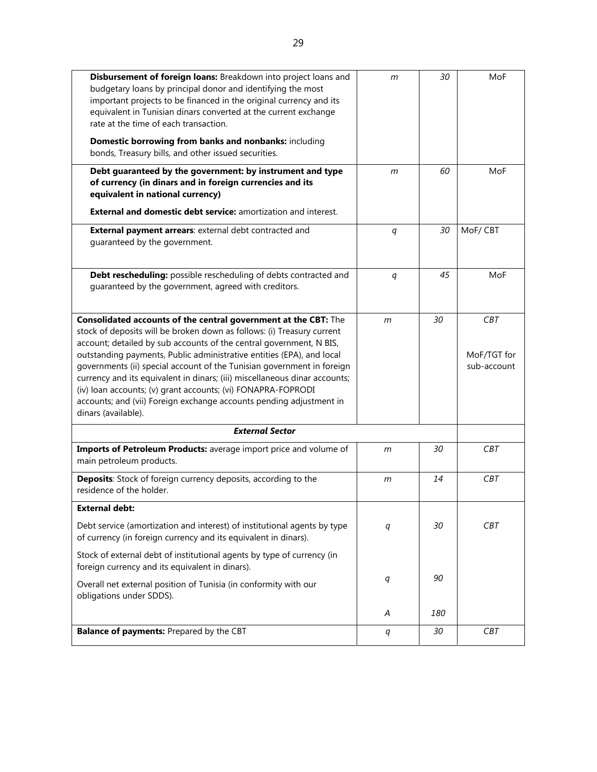| Disbursement of foreign loans: Breakdown into project loans and<br>budgetary loans by principal donor and identifying the most<br>important projects to be financed in the original currency and its<br>equivalent in Tunisian dinars converted at the current exchange<br>rate at the time of each transaction.<br>Domestic borrowing from banks and nonbanks: including<br>bonds, Treasury bills, and other issued securities.                                                                                                                                                                                | $\mathsf{m}$     | 30  | MoF                                      |
|-----------------------------------------------------------------------------------------------------------------------------------------------------------------------------------------------------------------------------------------------------------------------------------------------------------------------------------------------------------------------------------------------------------------------------------------------------------------------------------------------------------------------------------------------------------------------------------------------------------------|------------------|-----|------------------------------------------|
| Debt guaranteed by the government: by instrument and type<br>of currency (in dinars and in foreign currencies and its<br>equivalent in national currency)                                                                                                                                                                                                                                                                                                                                                                                                                                                       | m                | 60  | MoF                                      |
| <b>External and domestic debt service:</b> amortization and interest.                                                                                                                                                                                                                                                                                                                                                                                                                                                                                                                                           |                  |     |                                          |
| External payment arrears: external debt contracted and<br>guaranteed by the government.                                                                                                                                                                                                                                                                                                                                                                                                                                                                                                                         | $\boldsymbol{q}$ | 30  | MoF/CBT                                  |
| Debt rescheduling: possible rescheduling of debts contracted and<br>guaranteed by the government, agreed with creditors.                                                                                                                                                                                                                                                                                                                                                                                                                                                                                        | q                | 45  | MoF                                      |
| Consolidated accounts of the central government at the CBT: The<br>stock of deposits will be broken down as follows: (i) Treasury current<br>account; detailed by sub accounts of the central government, N BIS,<br>outstanding payments, Public administrative entities (EPA), and local<br>governments (ii) special account of the Tunisian government in foreign<br>currency and its equivalent in dinars; (iii) miscellaneous dinar accounts;<br>(iv) loan accounts; (v) grant accounts; (vi) FONAPRA-FOPRODI<br>accounts; and (vii) Foreign exchange accounts pending adjustment in<br>dinars (available). | m                | 30  | <b>CBT</b><br>MoF/TGT for<br>sub-account |
| <b>External Sector</b>                                                                                                                                                                                                                                                                                                                                                                                                                                                                                                                                                                                          |                  |     |                                          |
| Imports of Petroleum Products: average import price and volume of<br>main petroleum products.                                                                                                                                                                                                                                                                                                                                                                                                                                                                                                                   | m                | 30  | <b>CBT</b>                               |
| Deposits: Stock of foreign currency deposits, according to the<br>residence of the holder.                                                                                                                                                                                                                                                                                                                                                                                                                                                                                                                      | $\mathsf{m}$     | 14  | <b>CBT</b>                               |
| <b>External debt:</b>                                                                                                                                                                                                                                                                                                                                                                                                                                                                                                                                                                                           |                  |     |                                          |
| Debt service (amortization and interest) of institutional agents by type<br>of currency (in foreign currency and its equivalent in dinars).                                                                                                                                                                                                                                                                                                                                                                                                                                                                     | q                | 30  | <b>CBT</b>                               |
| Stock of external debt of institutional agents by type of currency (in<br>foreign currency and its equivalent in dinars).                                                                                                                                                                                                                                                                                                                                                                                                                                                                                       |                  |     |                                          |
| Overall net external position of Tunisia (in conformity with our<br>obligations under SDDS).                                                                                                                                                                                                                                                                                                                                                                                                                                                                                                                    | q                | 90  |                                          |
|                                                                                                                                                                                                                                                                                                                                                                                                                                                                                                                                                                                                                 | Α                | 180 |                                          |
| Balance of payments: Prepared by the CBT                                                                                                                                                                                                                                                                                                                                                                                                                                                                                                                                                                        | q                | 30  | <b>CBT</b>                               |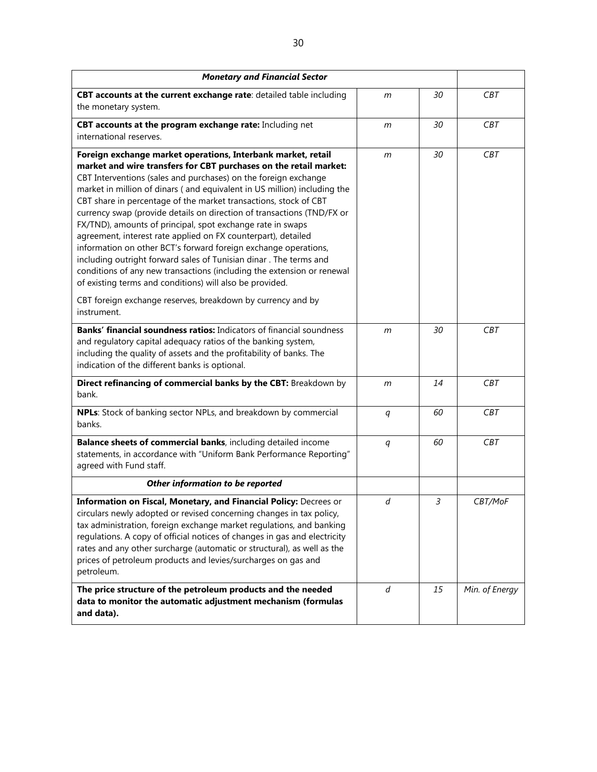| <b>Monetary and Financial Sector</b>                                                                                                                                                                                                                                                                                                                                                                                                                                                                                                                                                                                                                                                                                                                                                                                                        |                  |    |                |
|---------------------------------------------------------------------------------------------------------------------------------------------------------------------------------------------------------------------------------------------------------------------------------------------------------------------------------------------------------------------------------------------------------------------------------------------------------------------------------------------------------------------------------------------------------------------------------------------------------------------------------------------------------------------------------------------------------------------------------------------------------------------------------------------------------------------------------------------|------------------|----|----------------|
| CBT accounts at the current exchange rate: detailed table including<br>the monetary system.                                                                                                                                                                                                                                                                                                                                                                                                                                                                                                                                                                                                                                                                                                                                                 | m                | 30 | <b>CBT</b>     |
| CBT accounts at the program exchange rate: Including net<br>international reserves.                                                                                                                                                                                                                                                                                                                                                                                                                                                                                                                                                                                                                                                                                                                                                         | m                | 30 | <b>CBT</b>     |
| Foreign exchange market operations, Interbank market, retail<br>market and wire transfers for CBT purchases on the retail market:<br>CBT Interventions (sales and purchases) on the foreign exchange<br>market in million of dinars (and equivalent in US million) including the<br>CBT share in percentage of the market transactions, stock of CBT<br>currency swap (provide details on direction of transactions (TND/FX or<br>FX/TND), amounts of principal, spot exchange rate in swaps<br>agreement, interest rate applied on FX counterpart), detailed<br>information on other BCT's forward foreign exchange operations,<br>including outright forward sales of Tunisian dinar. The terms and<br>conditions of any new transactions (including the extension or renewal<br>of existing terms and conditions) will also be provided. | m                | 30 | CBT            |
| CBT foreign exchange reserves, breakdown by currency and by<br>instrument.                                                                                                                                                                                                                                                                                                                                                                                                                                                                                                                                                                                                                                                                                                                                                                  |                  |    |                |
| <b>Banks' financial soundness ratios:</b> Indicators of financial soundness<br>and regulatory capital adequacy ratios of the banking system,<br>including the quality of assets and the profitability of banks. The<br>indication of the different banks is optional.                                                                                                                                                                                                                                                                                                                                                                                                                                                                                                                                                                       | m                | 30 | <b>CBT</b>     |
| Direct refinancing of commercial banks by the CBT: Breakdown by<br>bank.                                                                                                                                                                                                                                                                                                                                                                                                                                                                                                                                                                                                                                                                                                                                                                    | m                | 14 | <b>CBT</b>     |
| NPLs: Stock of banking sector NPLs, and breakdown by commercial<br>banks.                                                                                                                                                                                                                                                                                                                                                                                                                                                                                                                                                                                                                                                                                                                                                                   | q                | 60 | <b>CBT</b>     |
| Balance sheets of commercial banks, including detailed income<br>statements, in accordance with "Uniform Bank Performance Reporting"<br>agreed with Fund staff.                                                                                                                                                                                                                                                                                                                                                                                                                                                                                                                                                                                                                                                                             | $\boldsymbol{q}$ | 60 | <b>CBT</b>     |
| Other information to be reported                                                                                                                                                                                                                                                                                                                                                                                                                                                                                                                                                                                                                                                                                                                                                                                                            |                  |    |                |
| Information on Fiscal, Monetary, and Financial Policy: Decrees or<br>circulars newly adopted or revised concerning changes in tax policy,<br>tax administration, foreign exchange market regulations, and banking<br>regulations. A copy of official notices of changes in gas and electricity<br>rates and any other surcharge (automatic or structural), as well as the<br>prices of petroleum products and levies/surcharges on gas and<br>petroleum.                                                                                                                                                                                                                                                                                                                                                                                    | d                | 3  | CBT/MoF        |
| The price structure of the petroleum products and the needed<br>data to monitor the automatic adjustment mechanism (formulas<br>and data).                                                                                                                                                                                                                                                                                                                                                                                                                                                                                                                                                                                                                                                                                                  | d                | 15 | Min. of Energy |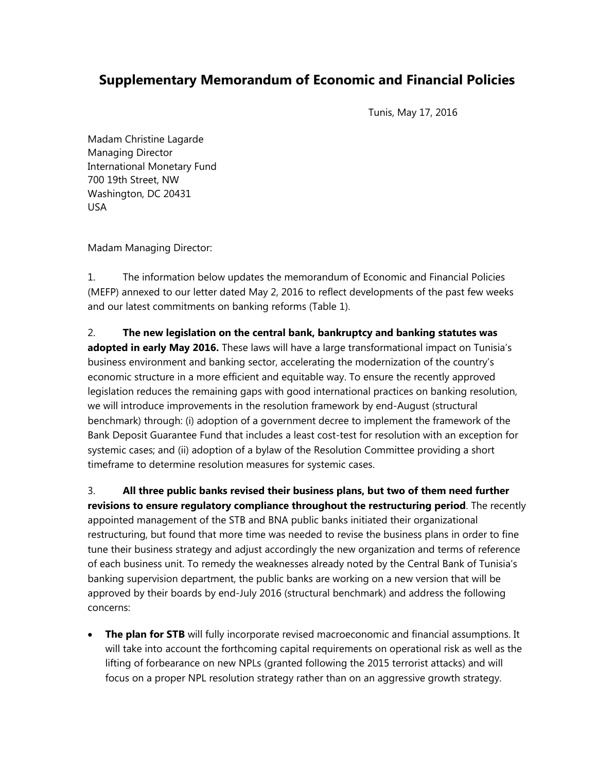# **Supplementary Memorandum of Economic and Financial Policies**

Tunis, May 17, 2016

Madam Christine Lagarde Managing Director International Monetary Fund 700 19th Street, NW Washington, DC 20431 USA

Madam Managing Director:

1. The information below updates the memorandum of Economic and Financial Policies (MEFP) annexed to our letter dated May 2, 2016 to reflect developments of the past few weeks and our latest commitments on banking reforms (Table 1).

2. **The new legislation on the central bank, bankruptcy and banking statutes was adopted in early May 2016.** These laws will have a large transformational impact on Tunisia's business environment and banking sector, accelerating the modernization of the country's economic structure in a more efficient and equitable way. To ensure the recently approved legislation reduces the remaining gaps with good international practices on banking resolution, we will introduce improvements in the resolution framework by end-August (structural benchmark) through: (i) adoption of a government decree to implement the framework of the Bank Deposit Guarantee Fund that includes a least cost-test for resolution with an exception for systemic cases; and (ii) adoption of a bylaw of the Resolution Committee providing a short timeframe to determine resolution measures for systemic cases.

3. **All three public banks revised their business plans, but two of them need further revisions to ensure regulatory compliance throughout the restructuring period**. The recently appointed management of the STB and BNA public banks initiated their organizational restructuring, but found that more time was needed to revise the business plans in order to fine tune their business strategy and adjust accordingly the new organization and terms of reference of each business unit. To remedy the weaknesses already noted by the Central Bank of Tunisia's banking supervision department, the public banks are working on a new version that will be approved by their boards by end-July 2016 (structural benchmark) and address the following concerns:

 **The plan for STB** will fully incorporate revised macroeconomic and financial assumptions. It will take into account the forthcoming capital requirements on operational risk as well as the lifting of forbearance on new NPLs (granted following the 2015 terrorist attacks) and will focus on a proper NPL resolution strategy rather than on an aggressive growth strategy.